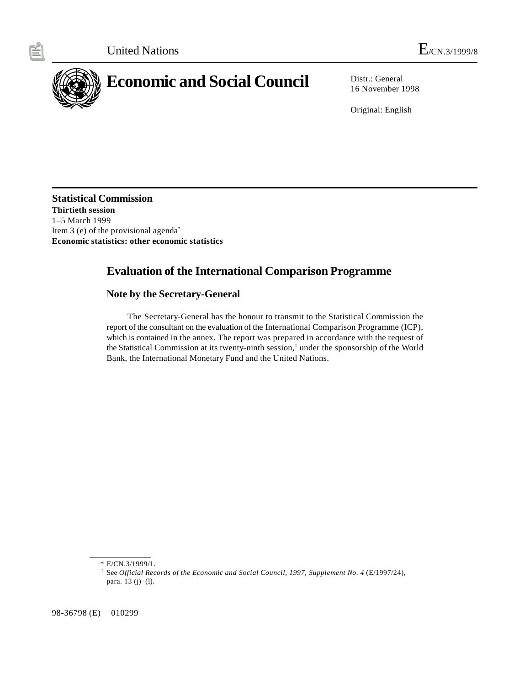

16 November 1998

Original: English

**Statistical Commission Thirtieth session** 1–5 March 1999 Item 3 (e) of the provisional agenda\* **Economic statistics: other economic statistics**

# **Evaluation of the International Comparison Programme**

# **Note by the Secretary-General**

The Secretary-General has the honour to transmit to the Statistical Commission the report of the consultant on the evaluation of the International Comparison Programme (ICP), which is contained in the annex. The report was prepared in accordance with the request of the Statistical Commission at its twenty-ninth session,<sup>1</sup> under the sponsorship of the World Bank, the International Monetary Fund and the United Nations.

98-36798 (E) 010299

<sup>\*</sup> E/CN.3/1999/1.

<sup>&</sup>lt;sup>1</sup> See *Official Records of the Economic and Social Council, 1997, Supplement No. 4* (E/1997/24), para. 13 (j)–(l).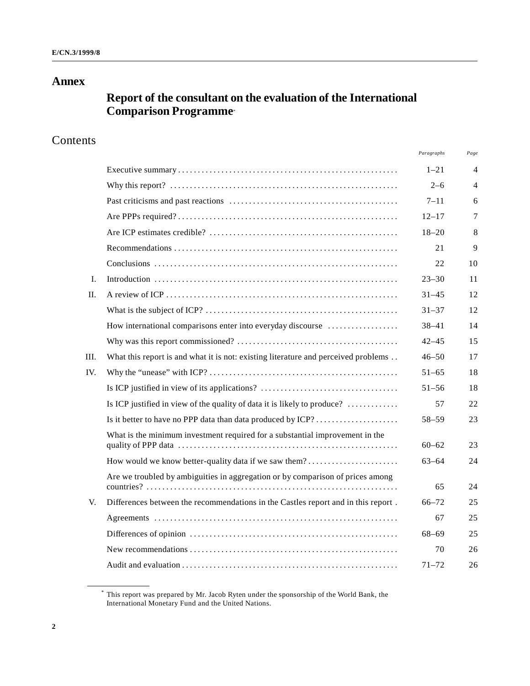# **Annex**

# **Report of the consultant on the evaluation of the International Comparison Programme**\*

# Contents

|     |                                                                                    | Paragraphs | Page           |
|-----|------------------------------------------------------------------------------------|------------|----------------|
|     |                                                                                    | $1 - 21$   | $\overline{4}$ |
|     |                                                                                    | $2 - 6$    | $\overline{4}$ |
|     |                                                                                    | $7 - 11$   | 6              |
|     |                                                                                    | $12 - 17$  | $\tau$         |
|     |                                                                                    | $18 - 20$  | 8              |
|     |                                                                                    | 21         | 9              |
|     |                                                                                    | 22         | 10             |
| L.  |                                                                                    | $23 - 30$  | 11             |
| П.  |                                                                                    | $31 - 45$  | 12             |
|     |                                                                                    | $31 - 37$  | 12             |
|     | How international comparisons enter into everyday discourse                        | $38 - 41$  | 14             |
|     |                                                                                    | $42 - 45$  | 15             |
| Ш.  | What this report is and what it is not: existing literature and perceived problems | $46 - 50$  | 17             |
| IV. |                                                                                    | $51 - 65$  | 18             |
|     | Is ICP justified in view of its applications?                                      | $51 - 56$  | 18             |
|     | Is ICP justified in view of the quality of data it is likely to produce?           | 57         | 22.            |
|     | Is it better to have no PPP data than data produced by ICP?                        | $58 - 59$  | 23             |
|     | What is the minimum investment required for a substantial improvement in the       | $60 - 62$  | 23             |
|     | How would we know better-quality data if we saw them?                              | $63 - 64$  | 24             |
|     | Are we troubled by ambiguities in aggregation or by comparison of prices among     | 65         | 24             |
| V.  | Differences between the recommendations in the Castles report and in this report.  | $66 - 72$  | 25             |
|     |                                                                                    | 67         | 25             |
|     |                                                                                    | $68 - 69$  | 25             |
|     |                                                                                    | 70         | 26             |
|     |                                                                                    | $71 - 72$  | 26             |

This report was prepared by Mr. Jacob Ryten under the sponsorship of the World Bank, the \* International Monetary Fund and the United Nations.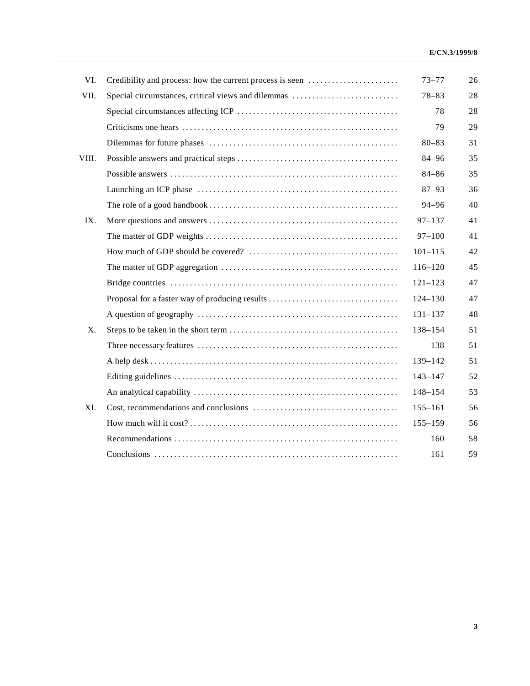| VI.   | Credibility and process: how the current process is seen | $73 - 77$   | 26 |
|-------|----------------------------------------------------------|-------------|----|
| VII.  | Special circumstances, critical views and dilemmas       | $78 - 83$   | 28 |
|       |                                                          | 78          | 28 |
|       |                                                          | 79          | 29 |
|       |                                                          | $80 - 83$   | 31 |
| VIII. |                                                          | $84 - 96$   | 35 |
|       |                                                          | $84 - 86$   | 35 |
|       |                                                          | $87 - 93$   | 36 |
|       |                                                          | 94-96       | 40 |
| IX.   |                                                          | $97 - 137$  | 41 |
|       |                                                          | $97 - 100$  | 41 |
|       |                                                          | $101 - 115$ | 42 |
|       |                                                          | $116 - 120$ | 45 |
|       |                                                          | $121 - 123$ | 47 |
|       | Proposal for a faster way of producing results           | $124 - 130$ | 47 |
|       |                                                          | $131 - 137$ | 48 |
| X.    |                                                          | 138-154     | 51 |
|       |                                                          | 138         | 51 |
|       |                                                          | 139-142     | 51 |
|       |                                                          | $143 - 147$ | 52 |
|       |                                                          | $148 - 154$ | 53 |
| XI.   |                                                          | $155 - 161$ | 56 |
|       |                                                          | $155 - 159$ | 56 |
|       |                                                          | 160         | 58 |
|       |                                                          | 161         | 59 |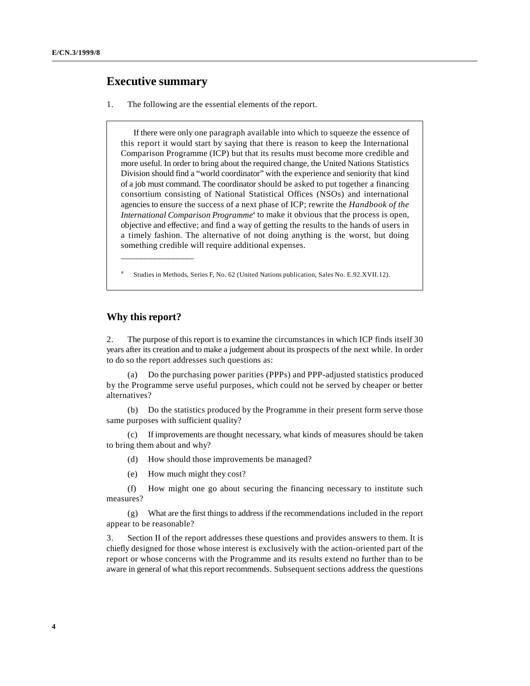# **Executive summary**

1. The following are the essential elements of the report.

If there were only one paragraph available into which to squeeze the essence of this report it would start by saying that there is reason to keep the International Comparison Programme (ICP) but that its results must become more credible and more useful. In order to bring about the required change, the United Nations Statistics Division should find a "world coordinator" with the experience and seniority that kind of a job must command. The coordinator should be asked to put together a financing consortium consisting of National Statistical Offices (NSOs) and international agencies to ensure the success of a next phase of ICP; rewrite the *Handbook of the International Comparison Programme*<sup>a</sup> to make it obvious that the process is open, objective and effective; and find a way of getting the results to the hands of users in a timely fashion. The alternative of not doing anything is the worst, but doing something credible will require additional expenses.

Studies in Methods, Series F, No. 62 (United Nations publication, Sales No. E.92.XVII.12). <sup>a</sup>

# **Why this report?**

\_\_\_\_\_\_\_\_\_\_\_\_\_\_\_\_

2. The purpose of this report is to examine the circumstances in which ICP finds itself 30 years after its creation and to make a judgement about its prospects of the next while. In order to do so the report addresses such questions as:

(a) Do the purchasing power parities (PPPs) and PPP-adjusted statistics produced by the Programme serve useful purposes, which could not be served by cheaper or better alternatives?

(b) Do the statistics produced by the Programme in their present form serve those same purposes with sufficient quality?

(c) If improvements are thought necessary, what kinds of measures should be taken to bring them about and why?

(d) How should those improvements be managed?

(e) How much might they cost?

(f) How might one go about securing the financing necessary to institute such measures?

(g) What are the first things to address if the recommendations included in the report appear to be reasonable?

3. Section II of the report addresses these questions and provides answers to them. It is chiefly designed for those whose interest is exclusively with the action-oriented part of the report or whose concerns with the Programme and its results extend no further than to be aware in general of what this report recommends. Subsequent sections address the questions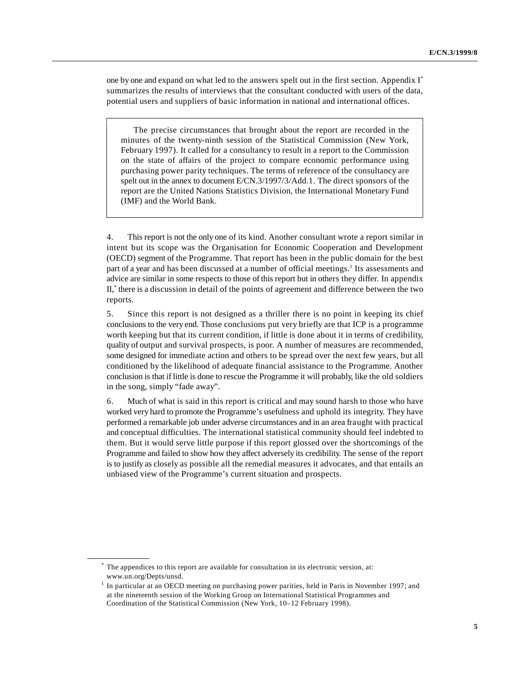one by one and expand on what led to the answers spelt out in the first section. Appendix I\* summarizes the results of interviews that the consultant conducted with users of the data, potential users and suppliers of basic information in national and international offices.

The precise circumstances that brought about the report are recorded in the minutes of the twenty-ninth session of the Statistical Commission (New York, February 1997). It called for a consultancy to result in a report to the Commission on the state of affairs of the project to compare economic performance using purchasing power parity techniques. The terms of reference of the consultancy are spelt out in the annex to document E/CN.3/1997/3/Add.1. The direct sponsors of the report are the United Nations Statistics Division, the International Monetary Fund (IMF) and the World Bank.

4. This report is not the only one of its kind. Another consultant wrote a report similar in intent but its scope was the Organisation for Economic Cooperation and Development (OECD) segment of the Programme. That report has been in the public domain for the best part of a year and has been discussed at a number of official meetings.<sup>1</sup> Its assessments and advice are similar in some respects to those of this report but in others they differ. In appendix II, there is a discussion in detail of the points of agreement and difference between the two \* reports.

5. Since this report is not designed as a thriller there is no point in keeping its chief conclusions to the very end. Those conclusions put very briefly are that ICP is a programme worth keeping but that its current condition, if little is done about it in terms of credibility, quality of output and survival prospects, is poor. A number of measures are recommended, some designed for immediate action and others to be spread over the next few years, but all conditioned by the likelihood of adequate financial assistance to the Programme. Another conclusion is that if little is done to rescue the Programme it will probably, like the old soldiers in the song, simply "fade away".

6. Much of what is said in this report is critical and may sound harsh to those who have worked very hard to promote the Programme's usefulness and uphold its integrity. They have performed a remarkable job under adverse circumstances and in an area fraught with practical and conceptual difficulties. The international statistical community should feel indebted to them. But it would serve little purpose if this report glossed over the shortcomings of the Programme and failed to show how they affect adversely its credibility. The sense of the report is to justify as closely as possible all the remedial measures it advocates, and that entails an unbiased view of the Programme's current situation and prospects.

The appendices to this report are available for consultation in its electronic version, at: \* www.un.org/Depts/unsd.

 $<sup>1</sup>$  In particular at an OECD meeting on purchasing power parities, held in Paris in November 1997; and</sup> at the nineteenth session of the Working Group on International Statistical Programmes and Coordination of the Statistical Commission (New York, 10–12 February 1998).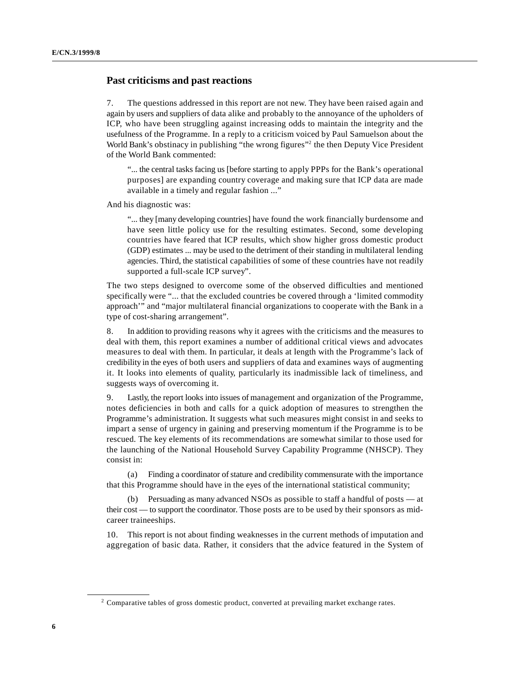# **Past criticisms and past reactions**

7. The questions addressed in this report are not new. They have been raised again and again by users and suppliers of data alike and probably to the annoyance of the upholders of ICP, who have been struggling against increasing odds to maintain the integrity and the usefulness of the Programme. In a reply to a criticism voiced by Paul Samuelson about the World Bank's obstinacy in publishing "the wrong figures" the then Deputy Vice President of the World Bank commented:

"... the central tasks facing us [before starting to apply PPPs for the Bank's operational purposes] are expanding country coverage and making sure that ICP data are made available in a timely and regular fashion ..."

And his diagnostic was:

"... they [many developing countries] have found the work financially burdensome and have seen little policy use for the resulting estimates. Second, some developing countries have feared that ICP results, which show higher gross domestic product (GDP) estimates ... may be used to the detriment of their standing in multilateral lending agencies. Third, the statistical capabilities of some of these countries have not readily supported a full-scale ICP survey".

The two steps designed to overcome some of the observed difficulties and mentioned specifically were "... that the excluded countries be covered through a 'limited commodity approach'" and "major multilateral financial organizations to cooperate with the Bank in a type of cost-sharing arrangement".

8. In addition to providing reasons why it agrees with the criticisms and the measures to deal with them, this report examines a number of additional critical views and advocates measures to deal with them. In particular, it deals at length with the Programme's lack of credibility in the eyes of both users and suppliers of data and examines ways of augmenting it. It looks into elements of quality, particularly its inadmissible lack of timeliness, and suggests ways of overcoming it.

9. Lastly, the report looks into issues of management and organization of the Programme, notes deficiencies in both and calls for a quick adoption of measures to strengthen the Programme's administration. It suggests what such measures might consist in and seeks to impart a sense of urgency in gaining and preserving momentum if the Programme is to be rescued. The key elements of its recommendations are somewhat similar to those used for the launching of the National Household Survey Capability Programme (NHSCP). They consist in:

(a) Finding a coordinator of stature and credibility commensurate with the importance that this Programme should have in the eyes of the international statistical community;

(b) Persuading as many advanced NSOs as possible to staff a handful of posts — at their cost — to support the coordinator. Those posts are to be used by their sponsors as midcareer traineeships.

10. This report is not about finding weaknesses in the current methods of imputation and aggregation of basic data. Rather, it considers that the advice featured in the System of

<sup>&</sup>lt;sup>2</sup> Comparative tables of gross domestic product, converted at prevailing market exchange rates.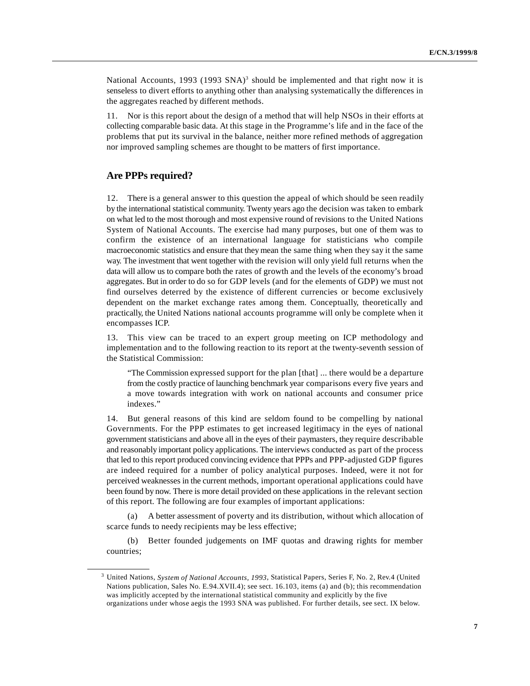National Accounts, 1993 (1993 SNA)<sup>3</sup> should be implemented and that right now it is senseless to divert efforts to anything other than analysing systematically the differences in the aggregates reached by different methods.

11. Nor is this report about the design of a method that will help NSOs in their efforts at collecting comparable basic data. At this stage in the Programme's life and in the face of the problems that put its survival in the balance, neither more refined methods of aggregation nor improved sampling schemes are thought to be matters of first importance.

# **Are PPPs required?**

12. There is a general answer to this question the appeal of which should be seen readily by the international statistical community. Twenty years ago the decision was taken to embark on what led to the most thorough and most expensive round of revisions to the United Nations System of National Accounts. The exercise had many purposes, but one of them was to confirm the existence of an international language for statisticians who compile macroeconomic statistics and ensure that they mean the same thing when they say it the same way. The investment that went together with the revision will only yield full returns when the data will allow us to compare both the rates of growth and the levels of the economy's broad aggregates. But in order to do so for GDP levels (and for the elements of GDP) we must not find ourselves deterred by the existence of different currencies or become exclusively dependent on the market exchange rates among them. Conceptually, theoretically and practically, the United Nations national accounts programme will only be complete when it encompasses ICP.

13. This view can be traced to an expert group meeting on ICP methodology and implementation and to the following reaction to its report at the twenty-seventh session of the Statistical Commission:

"The Commission expressed support for the plan [that] ... there would be a departure from the costly practice of launching benchmark year comparisons every five years and a move towards integration with work on national accounts and consumer price indexes."

14. But general reasons of this kind are seldom found to be compelling by national Governments. For the PPP estimates to get increased legitimacy in the eyes of national government statisticians and above all in the eyes of their paymasters, they require describable and reasonably important policy applications. The interviews conducted as part of the process that led to this report produced convincing evidence that PPPs and PPP-adjusted GDP figures are indeed required for a number of policy analytical purposes. Indeed, were it not for perceived weaknesses in the current methods, important operational applications could have been found by now. There is more detail provided on these applications in the relevant section of this report. The following are four examples of important applications:

A better assessment of poverty and its distribution, without which allocation of scarce funds to needy recipients may be less effective;

(b) Better founded judgements on IMF quotas and drawing rights for member countries;

<sup>&</sup>lt;sup>3</sup> United Nations, *System of National Accounts, 1993*, Statistical Papers, Series F, No. 2, Rev.4 (United Nations publication, Sales No. E.94.XVII.4); see sect. 16.103, items (a) and (b); this recommendation was implicitly accepted by the international statistical community and explicitly by the five organizations under whose aegis the 1993 SNA was published. For further details, see sect. IX below.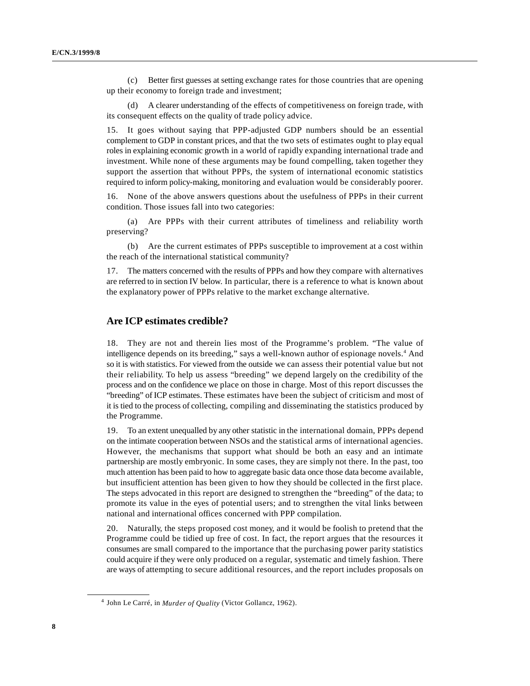(c) Better first guesses at setting exchange rates for those countries that are opening up their economy to foreign trade and investment;

A clearer understanding of the effects of competitiveness on foreign trade, with its consequent effects on the quality of trade policy advice.

15. It goes without saying that PPP-adjusted GDP numbers should be an essential complement to GDP in constant prices, and that the two sets of estimates ought to play equal roles in explaining economic growth in a world of rapidly expanding international trade and investment. While none of these arguments may be found compelling, taken together they support the assertion that without PPPs, the system of international economic statistics required to inform policy-making, monitoring and evaluation would be considerably poorer.

16. None of the above answers questions about the usefulness of PPPs in their current condition. Those issues fall into two categories:

(a) Are PPPs with their current attributes of timeliness and reliability worth preserving?

(b) Are the current estimates of PPPs susceptible to improvement at a cost within the reach of the international statistical community?

17. The matters concerned with the results of PPPs and how they compare with alternatives are referred to in section IV below. In particular, there is a reference to what is known about the explanatory power of PPPs relative to the market exchange alternative.

# **Are ICP estimates credible?**

18. They are not and therein lies most of the Programme's problem. "The value of intelligence depends on its breeding," says a well-known author of espionage novels.<sup>4</sup> And so it is with statistics. For viewed from the outside we can assess their potential value but not their reliability. To help us assess "breeding" we depend largely on the credibility of the process and on the confidence we place on those in charge. Most of this report discusses the "breeding" of ICP estimates. These estimates have been the subject of criticism and most of it is tied to the process of collecting, compiling and disseminating the statistics produced by the Programme.

19. To an extent unequalled by any other statistic in the international domain, PPPs depend on the intimate cooperation between NSOs and the statistical arms of international agencies. However, the mechanisms that support what should be both an easy and an intimate partnership are mostly embryonic. In some cases, they are simply not there. In the past, too much attention has been paid to how to aggregate basic data once those data become available, but insufficient attention has been given to how they should be collected in the first place. The steps advocated in this report are designed to strengthen the "breeding" of the data; to promote its value in the eyes of potential users; and to strengthen the vital links between national and international offices concerned with PPP compilation.

20. Naturally, the steps proposed cost money, and it would be foolish to pretend that the Programme could be tidied up free of cost. In fact, the report argues that the resources it consumes are small compared to the importance that the purchasing power parity statistics could acquire if they were only produced on a regular, systematic and timely fashion. There are ways of attempting to secure additional resources, and the report includes proposals on

<sup>&</sup>lt;sup>4</sup> John Le Carré, in *Murder of Quality* (Victor Gollancz, 1962).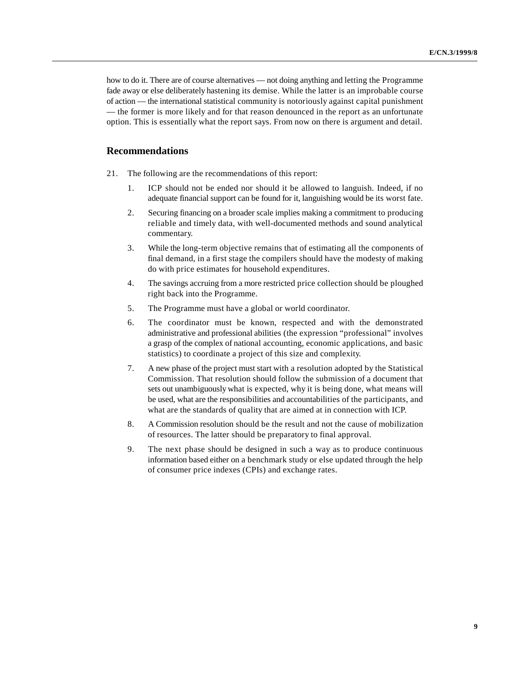how to do it. There are of course alternatives — not doing anything and letting the Programme fade away or else deliberately hastening its demise. While the latter is an improbable course of action — the international statistical community is notoriously against capital punishment — the former is more likely and for that reason denounced in the report as an unfortunate option. This is essentially what the report says. From now on there is argument and detail.

### **Recommendations**

- 21. The following are the recommendations of this report:
	- 1. ICP should not be ended nor should it be allowed to languish. Indeed, if no adequate financial support can be found for it, languishing would be its worst fate.
	- 2. Securing financing on a broader scale implies making a commitment to producing reliable and timely data, with well-documented methods and sound analytical commentary.
	- 3. While the long-term objective remains that of estimating all the components of final demand, in a first stage the compilers should have the modesty of making do with price estimates for household expenditures.
	- 4. The savings accruing from a more restricted price collection should be ploughed right back into the Programme.
	- 5. The Programme must have a global or world coordinator.
	- 6. The coordinator must be known, respected and with the demonstrated administrative and professional abilities (the expression "professional" involves a grasp of the complex of national accounting, economic applications, and basic statistics) to coordinate a project of this size and complexity.
	- 7. A new phase of the project must start with a resolution adopted by the Statistical Commission. That resolution should follow the submission of a document that sets out unambiguously what is expected, why it is being done, what means will be used, what are the responsibilities and accountabilities of the participants, and what are the standards of quality that are aimed at in connection with ICP.
	- 8. A Commission resolution should be the result and not the cause of mobilization of resources. The latter should be preparatory to final approval.
	- 9. The next phase should be designed in such a way as to produce continuous information based either on a benchmark study or else updated through the help of consumer price indexes (CPIs) and exchange rates.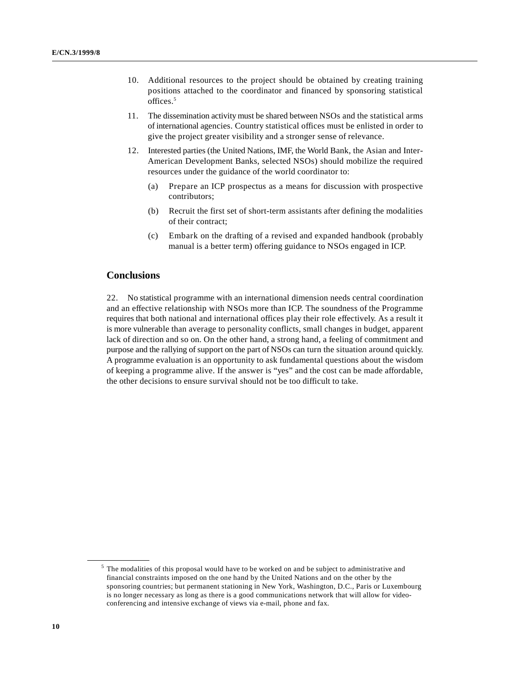- 10. Additional resources to the project should be obtained by creating training positions attached to the coordinator and financed by sponsoring statistical offices.5
- 11. The dissemination activity must be shared between NSOs and the statistical arms of international agencies. Country statistical offices must be enlisted in order to give the project greater visibility and a stronger sense of relevance.
- 12. Interested parties (the United Nations, IMF, the World Bank, the Asian and Inter-American Development Banks, selected NSOs) should mobilize the required resources under the guidance of the world coordinator to:
	- (a) Prepare an ICP prospectus as a means for discussion with prospective contributors;
	- (b) Recruit the first set of short-term assistants after defining the modalities of their contract;
	- (c) Embark on the drafting of a revised and expanded handbook (probably manual is a better term) offering guidance to NSOs engaged in ICP.

# **Conclusions**

22. No statistical programme with an international dimension needs central coordination and an effective relationship with NSOs more than ICP. The soundness of the Programme requires that both national and international offices play their role effectively. As a result it is more vulnerable than average to personality conflicts, small changes in budget, apparent lack of direction and so on. On the other hand, a strong hand, a feeling of commitment and purpose and the rallying of support on the part of NSOs can turn the situation around quickly. A programme evaluation is an opportunity to ask fundamental questions about the wisdom of keeping a programme alive. If the answer is "yes" and the cost can be made affordable, the other decisions to ensure survival should not be too difficult to take.

<sup>&</sup>lt;sup>5</sup> The modalities of this proposal would have to be worked on and be subject to administrative and financial constraints imposed on the one hand by the United Nations and on the other by the sponsoring countries; but permanent stationing in New York, Washington, D.C., Paris or Luxembourg is no longer necessary as long as there is a good communications network that will allow for videoconferencing and intensive exchange of views via e-mail, phone and fax.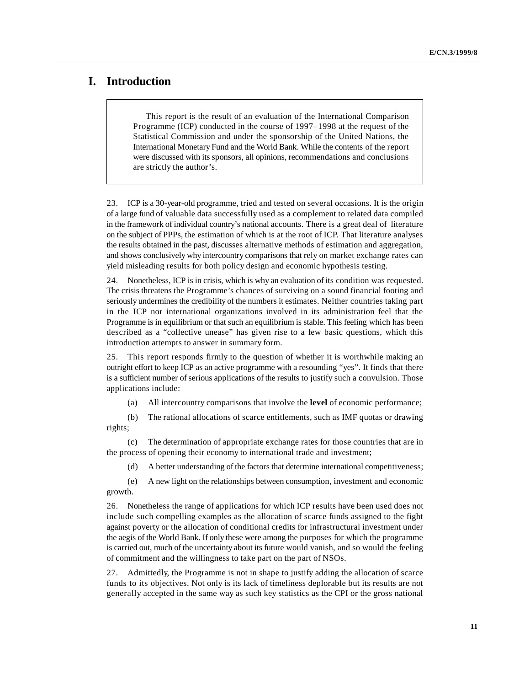# **I. Introduction**

This report is the result of an evaluation of the International Comparison Programme (ICP) conducted in the course of 1997–1998 at the request of the Statistical Commission and under the sponsorship of the United Nations, the International Monetary Fund and the World Bank. While the contents of the report were discussed with its sponsors, all opinions, recommendations and conclusions are strictly the author's.

23. ICP is a 30-year-old programme, tried and tested on several occasions. It is the origin of a large fund of valuable data successfully used as a complement to related data compiled in the framework of individual country's national accounts. There is a great deal of literature on the subject of PPPs, the estimation of which is at the root of ICP. That literature analyses the results obtained in the past, discusses alternative methods of estimation and aggregation, and shows conclusively why intercountry comparisons that rely on market exchange rates can yield misleading results for both policy design and economic hypothesis testing.

24. Nonetheless, ICP is in crisis, which is why an evaluation of its condition was requested. The crisis threatens the Programme's chances of surviving on a sound financial footing and seriously undermines the credibility of the numbers it estimates. Neither countries taking part in the ICP nor international organizations involved in its administration feel that the Programme is in equilibrium or that such an equilibrium is stable. This feeling which has been described as a "collective unease" has given rise to a few basic questions, which this introduction attempts to answer in summary form.

25. This report responds firmly to the question of whether it is worthwhile making an outright effort to keep ICP as an active programme with a resounding "yes". It finds that there is a sufficient number of serious applications of the results to justify such a convulsion. Those applications include:

(a) All intercountry comparisons that involve the **level** of economic performance;

(b) The rational allocations of scarce entitlements, such as IMF quotas or drawing rights;

(c) The determination of appropriate exchange rates for those countries that are in the process of opening their economy to international trade and investment;

(d) A better understanding of the factors that determine international competitiveness;

(e) A new light on the relationships between consumption, investment and economic growth.

26. Nonetheless the range of applications for which ICP results have been used does not include such compelling examples as the allocation of scarce funds assigned to the fight against poverty or the allocation of conditional credits for infrastructural investment under the aegis of the World Bank. If only these were among the purposes for which the programme is carried out, much of the uncertainty about its future would vanish, and so would the feeling of commitment and the willingness to take part on the part of NSOs.

27. Admittedly, the Programme is not in shape to justify adding the allocation of scarce funds to its objectives. Not only is its lack of timeliness deplorable but its results are not generally accepted in the same way as such key statistics as the CPI or the gross national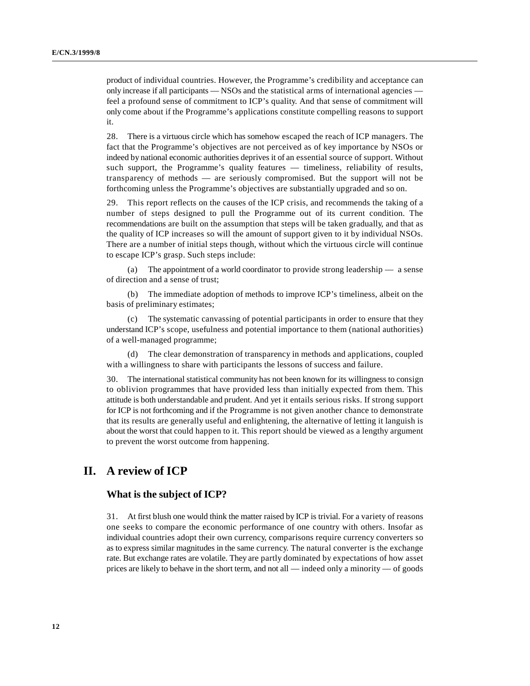product of individual countries. However, the Programme's credibility and acceptance can only increase if all participants — NSOs and the statistical arms of international agencies feel a profound sense of commitment to ICP's quality. And that sense of commitment will only come about if the Programme's applications constitute compelling reasons to support it.

28. There is a virtuous circle which has somehow escaped the reach of ICP managers. The fact that the Programme's objectives are not perceived as of key importance by NSOs or indeed by national economic authorities deprives it of an essential source of support. Without such support, the Programme's quality features — timeliness, reliability of results, transparency of methods — are seriously compromised. But the support will not be forthcoming unless the Programme's objectives are substantially upgraded and so on.

29. This report reflects on the causes of the ICP crisis, and recommends the taking of a number of steps designed to pull the Programme out of its current condition. The recommendations are built on the assumption that steps will be taken gradually, and that as the quality of ICP increases so will the amount of support given to it by individual NSOs. There are a number of initial steps though, without which the virtuous circle will continue to escape ICP's grasp. Such steps include:

(a) The appointment of a world coordinator to provide strong leadership — a sense of direction and a sense of trust;

(b) The immediate adoption of methods to improve ICP's timeliness, albeit on the basis of preliminary estimates;

The systematic canvassing of potential participants in order to ensure that they understand ICP's scope, usefulness and potential importance to them (national authorities) of a well-managed programme;

(d) The clear demonstration of transparency in methods and applications, coupled with a willingness to share with participants the lessons of success and failure.

30. The international statistical community has not been known for its willingness to consign to oblivion programmes that have provided less than initially expected from them. This attitude is both understandable and prudent. And yet it entails serious risks. If strong support for ICP is not forthcoming and if the Programme is not given another chance to demonstrate that its results are generally useful and enlightening, the alternative of letting it languish is about the worst that could happen to it. This report should be viewed as a lengthy argument to prevent the worst outcome from happening.

# **II. A review of ICP**

#### **What is the subject of ICP?**

31. At first blush one would think the matter raised by ICP is trivial. For a variety of reasons one seeks to compare the economic performance of one country with others. Insofar as individual countries adopt their own currency, comparisons require currency converters so as to express similar magnitudes in the same currency. The natural converter is the exchange rate. But exchange rates are volatile. They are partly dominated by expectations of how asset prices are likely to behave in the short term, and not all — indeed only a minority — of goods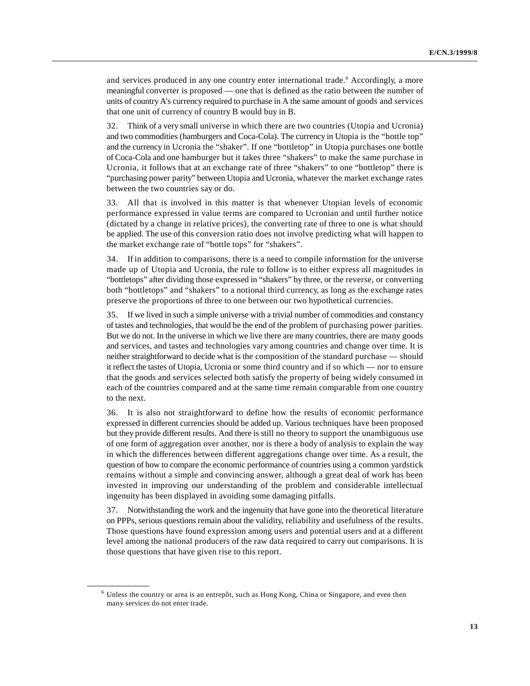and services produced in any one country enter international trade.<sup>6</sup> Accordingly, a more meaningful converter is proposed — one that is defined as the ratio between the number of units of country A's currency required to purchase in A the same amount of goods and services that one unit of currency of country B would buy in B.

32. Think of a very small universe in which there are two countries (Utopia and Ucronia) and two commodities (hamburgers and Coca-Cola). The currency in Utopia is the "bottle top" and the currency in Ucronia the "shaker". If one "bottletop" in Utopia purchases one bottle of Coca-Cola and one hamburger but it takes three "shakers" to make the same purchase in Ucronia, it follows that at an exchange rate of three "shakers" to one "bottletop" there is "purchasing power parity" between Utopia and Ucronia, whatever the market exchange rates between the two countries say or do.

33. All that is involved in this matter is that whenever Utopian levels of economic performance expressed in value terms are compared to Ucronian and until further notice (dictated by a change in relative prices), the converting rate of three to one is what should be applied. The use of this conversion ratio does not involve predicting what will happen to the market exchange rate of "bottle tops" for "shakers".

34. If in addition to comparisons, there is a need to compile information for the universe made up of Utopia and Ucronia, the rule to follow is to either express all magnitudes in "bottletops" after dividing those expressed in "shakers" by three, or the reverse, or converting both "bottletops" and "shakers" to a notional third currency, as long as the exchange rates preserve the proportions of three to one between our two hypothetical currencies.

35. If we lived in such a simple universe with a trivial number of commodities and constancy of tastes and technologies, that would be the end of the problem of purchasing power parities. But we do not. In the universe in which we live there are many countries, there are many goods and services, and tastes and technologies vary among countries and change over time. It is neither straightforward to decide what is the composition of the standard purchase — should it reflect the tastes of Utopia, Ucronia or some third country and if so which — nor to ensure that the goods and services selected both satisfy the property of being widely consumed in each of the countries compared and at the same time remain comparable from one country to the next.

36. It is also not straightforward to define how the results of economic performance expressed in different currencies should be added up. Various techniques have been proposed but they provide different results. And there is still no theory to support the unambiguous use of one form of aggregation over another, nor is there a body of analysis to explain the way in which the differences between different aggregations change over time. As a result, the question of how to compare the economic performance of countries using a common yardstick remains without a simple and convincing answer, although a great deal of work has been invested in improving our understanding of the problem and considerable intellectual ingenuity has been displayed in avoiding some damaging pitfalls.

37. Notwithstanding the work and the ingenuity that have gone into the theoretical literature on PPPs, serious questions remain about the validity, reliability and usefulness of the results. Those questions have found expression among users and potential users and at a different level among the national producers of the raw data required to carry out comparisons. It is those questions that have given rise to this report.

 $6$  Unless the country or area is an entrepôt, such as Hong Kong, China or Singapore, and even then many services do not enter trade.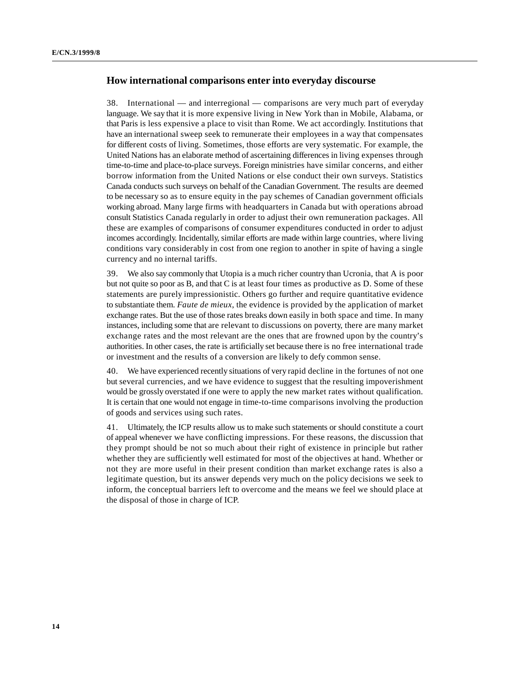# **How international comparisons enter into everyday discourse**

38. International — and interregional — comparisons are very much part of everyday language. We say that it is more expensive living in New York than in Mobile, Alabama, or that Paris is less expensive a place to visit than Rome. We act accordingly. Institutions that have an international sweep seek to remunerate their employees in a way that compensates for different costs of living. Sometimes, those efforts are very systematic. For example, the United Nations has an elaborate method of ascertaining differences in living expenses through time-to-time and place-to-place surveys. Foreign ministries have similar concerns, and either borrow information from the United Nations or else conduct their own surveys. Statistics Canada conducts such surveys on behalf of the Canadian Government. The results are deemed to be necessary so as to ensure equity in the pay schemes of Canadian government officials working abroad. Many large firms with headquarters in Canada but with operations abroad consult Statistics Canada regularly in order to adjust their own remuneration packages. All these are examples of comparisons of consumer expenditures conducted in order to adjust incomes accordingly. Incidentally, similar efforts are made within large countries, where living conditions vary considerably in cost from one region to another in spite of having a single currency and no internal tariffs.

39. We also say commonly that Utopia is a much richer country than Ucronia, that A is poor but not quite so poor as B, and that C is at least four times as productive as D. Some of these statements are purely impressionistic. Others go further and require quantitative evidence to substantiate them. *Faute de mieux*, the evidence is provided by the application of market exchange rates. But the use of those rates breaks down easily in both space and time. In many instances, including some that are relevant to discussions on poverty, there are many market exchange rates and the most relevant are the ones that are frowned upon by the country's authorities. In other cases, the rate is artificially set because there is no free international trade or investment and the results of a conversion are likely to defy common sense.

40. We have experienced recently situations of very rapid decline in the fortunes of not one but several currencies, and we have evidence to suggest that the resulting impoverishment would be grossly overstated if one were to apply the new market rates without qualification. It is certain that one would not engage in time-to-time comparisons involving the production of goods and services using such rates.

41. Ultimately, the ICP results allow us to make such statements or should constitute a court of appeal whenever we have conflicting impressions. For these reasons, the discussion that they prompt should be not so much about their right of existence in principle but rather whether they are sufficiently well estimated for most of the objectives at hand. Whether or not they are more useful in their present condition than market exchange rates is also a legitimate question, but its answer depends very much on the policy decisions we seek to inform, the conceptual barriers left to overcome and the means we feel we should place at the disposal of those in charge of ICP.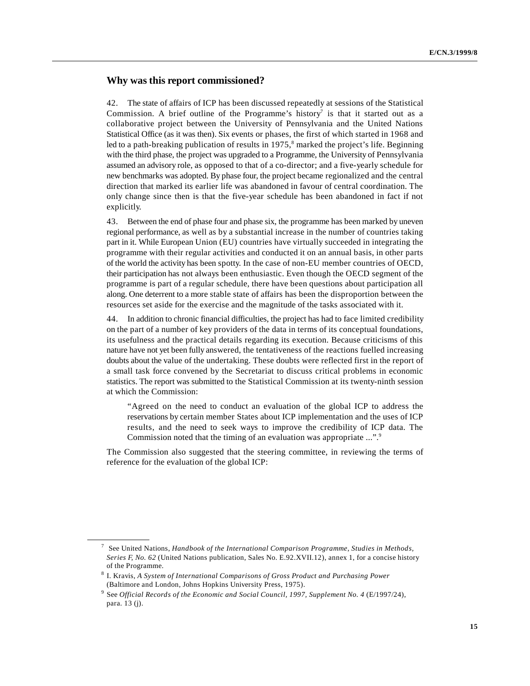# **Why was this report commissioned?**

42. The state of affairs of ICP has been discussed repeatedly at sessions of the Statistical Commission. A brief outline of the Programme's history<sup>7</sup> is that it started out as a collaborative project between the University of Pennsylvania and the United Nations Statistical Office (as it was then). Six events or phases, the first of which started in 1968 and led to a path-breaking publication of results in  $1975$ , marked the project's life. Beginning with the third phase, the project was upgraded to a Programme, the University of Pennsylvania assumed an advisory role, as opposed to that of a co-director; and a five-yearly schedule for new benchmarks was adopted. By phase four, the project became regionalized and the central direction that marked its earlier life was abandoned in favour of central coordination. The only change since then is that the five-year schedule has been abandoned in fact if not explicitly.

43. Between the end of phase four and phase six, the programme has been marked by uneven regional performance, as well as by a substantial increase in the number of countries taking part in it. While European Union (EU) countries have virtually succeeded in integrating the programme with their regular activities and conducted it on an annual basis, in other parts of the world the activity has been spotty. In the case of non-EU member countries of OECD, their participation has not always been enthusiastic. Even though the OECD segment of the programme is part of a regular schedule, there have been questions about participation all along. One deterrent to a more stable state of affairs has been the disproportion between the resources set aside for the exercise and the magnitude of the tasks associated with it.

44. In addition to chronic financial difficulties, the project has had to face limited credibility on the part of a number of key providers of the data in terms of its conceptual foundations, its usefulness and the practical details regarding its execution. Because criticisms of this nature have not yet been fully answered, the tentativeness of the reactions fuelled increasing doubts about the value of the undertaking. These doubts were reflected first in the report of a small task force convened by the Secretariat to discuss critical problems in economic statistics. The report was submitted to the Statistical Commission at its twenty-ninth session at which the Commission:

"Agreed on the need to conduct an evaluation of the global ICP to address the reservations by certain member States about ICP implementation and the uses of ICP results, and the need to seek ways to improve the credibility of ICP data. The Commission noted that the timing of an evaluation was appropriate ...".9

The Commission also suggested that the steering committee, in reviewing the terms of reference for the evaluation of the global ICP:

See United Nations, *Handbook of the International Comparison Programme*, *Studies in Methods,* <sup>7</sup> *Series F, No. 62* (United Nations publication, Sales No. E.92.XVII.12), annex 1, for a concise history of the Programme.

<sup>&</sup>lt;sup>8</sup> I. Kravis, A System of International Comparisons of Gross Product and Purchasing Power (Baltimore and London, Johns Hopkins University Press, 1975).

<sup>&</sup>lt;sup>9</sup> See *Official Records of the Economic and Social Council, 1997, Supplement No. 4* (E/1997/24), para. 13 (j).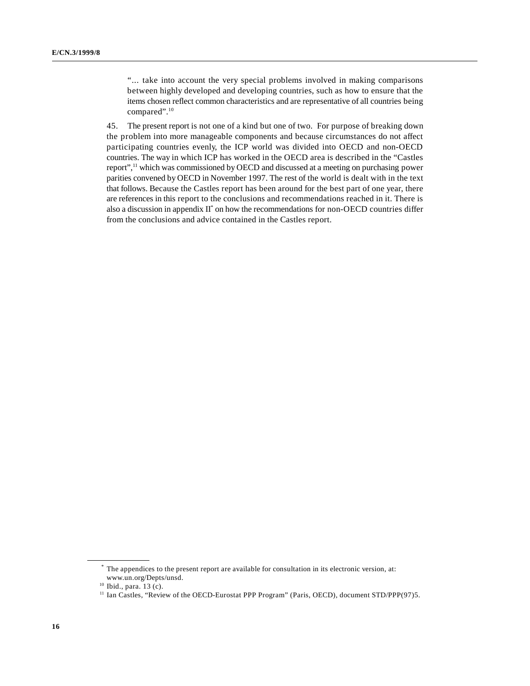"... take into account the very special problems involved in making comparisons between highly developed and developing countries, such as how to ensure that the items chosen reflect common characteristics and are representative of all countries being compared".10

45. The present report is not one of a kind but one of two. For purpose of breaking down the problem into more manageable components and because circumstances do not affect participating countries evenly, the ICP world was divided into OECD and non-OECD countries. The way in which ICP has worked in the OECD area is described in the "Castles report",<sup>11</sup> which was commissioned by OECD and discussed at a meeting on purchasing power parities convened by OECD in November 1997. The rest of the world is dealt with in the text that follows. Because the Castles report has been around for the best part of one year, there are references in this report to the conclusions and recommendations reached in it. There is also a discussion in appendix  $II^*$  on how the recommendations for non-OECD countries differ from the conclusions and advice contained in the Castles report.

The appendices to the present report are available for consultation in its electronic version, at: \* www.un.org/Depts/unsd.

 $10$  Ibid., para.  $13$  (c).

<sup>&</sup>lt;sup>11</sup> Ian Castles, "Review of the OECD-Eurostat PPP Program" (Paris, OECD), document STD/PPP(97)5.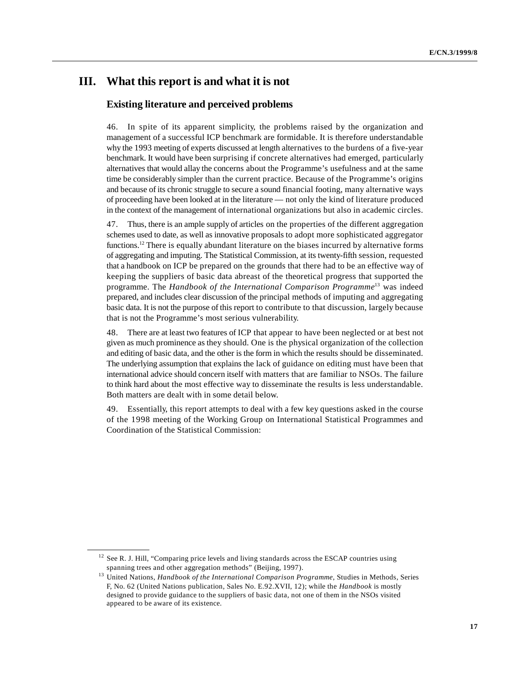# **III. What this report is and what it is not**

# **Existing literature and perceived problems**

46. In spite of its apparent simplicity, the problems raised by the organization and management of a successful ICP benchmark are formidable. It is therefore understandable why the 1993 meeting of experts discussed at length alternatives to the burdens of a five-year benchmark. It would have been surprising if concrete alternatives had emerged, particularly alternatives that would allay the concerns about the Programme's usefulness and at the same time be considerably simpler than the current practice. Because of the Programme's origins and because of its chronic struggle to secure a sound financial footing, many alternative ways of proceeding have been looked at in the literature — not only the kind of literature produced in the context of the management of international organizations but also in academic circles.

47. Thus, there is an ample supply of articles on the properties of the different aggregation schemes used to date, as well as innovative proposals to adopt more sophisticated aggregator functions.<sup>12</sup> There is equally abundant literature on the biases incurred by alternative forms of aggregating and imputing. The Statistical Commission, at its twenty-fifth session, requested that a handbook on ICP be prepared on the grounds that there had to be an effective way of keeping the suppliers of basic data abreast of the theoretical progress that supported the programme. The *Handbook of the International Comparison Programme*<sup>13</sup> was indeed prepared, and includes clear discussion of the principal methods of imputing and aggregating basic data. It is not the purpose of this report to contribute to that discussion, largely because that is not the Programme's most serious vulnerability.

48. There are at least two features of ICP that appear to have been neglected or at best not given as much prominence as they should. One is the physical organization of the collection and editing of basic data, and the other is the form in which the results should be disseminated. The underlying assumption that explains the lack of guidance on editing must have been that international advice should concern itself with matters that are familiar to NSOs. The failure to think hard about the most effective way to disseminate the results is less understandable. Both matters are dealt with in some detail below.

49. Essentially, this report attempts to deal with a few key questions asked in the course of the 1998 meeting of the Working Group on International Statistical Programmes and Coordination of the Statistical Commission:

 $12$  See R. J. Hill, "Comparing price levels and living standards across the ESCAP countries using spanning trees and other aggregation methods" (Beijing, 1997).

<sup>&</sup>lt;sup>13</sup> United Nations, *Handbook of the International Comparison Programme*, Studies in Methods, Series F, No. 62 (United Nations publication, Sales No. E.92.XVII, 12); while the *Handbook* is mostly designed to provide guidance to the suppliers of basic data, not one of them in the NSOs visited appeared to be aware of its existence.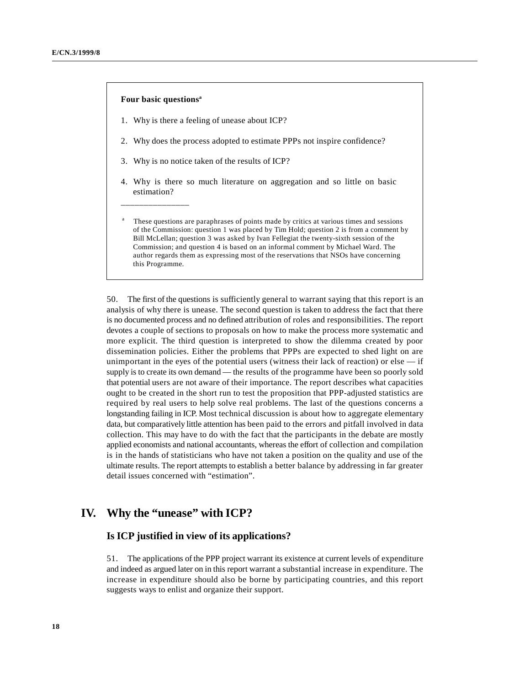#### **Four basic questionsa**

\_\_\_\_\_\_\_\_\_\_\_\_\_\_\_\_

- 1. Why is there a feeling of unease about ICP?
- 2. Why does the process adopted to estimate PPPs not inspire confidence?
- 3. Why is no notice taken of the results of ICP?
- 4. Why is there so much literature on aggregation and so little on basic estimation?
- These questions are paraphrases of points made by critics at various times and sessions a of the Commission: question 1 was placed by Tim Hold; question 2 is from a comment by Bill McLellan; question 3 was asked by Ivan Fellegiat the twenty-sixth session of the Commission; and question 4 is based on an informal comment by Michael Ward. The author regards them as expressing most of the reservations that NSOs have concerning this Programme.

50. The first of the questions is sufficiently general to warrant saying that this report is an analysis of why there is unease. The second question is taken to address the fact that there is no documented process and no defined attribution of roles and responsibilities. The report devotes a couple of sections to proposals on how to make the process more systematic and more explicit. The third question is interpreted to show the dilemma created by poor dissemination policies. Either the problems that PPPs are expected to shed light on are unimportant in the eyes of the potential users (witness their lack of reaction) or else — if supply is to create its own demand — the results of the programme have been so poorly sold that potential users are not aware of their importance. The report describes what capacities ought to be created in the short run to test the proposition that PPP-adjusted statistics are required by real users to help solve real problems. The last of the questions concerns a longstanding failing in ICP. Most technical discussion is about how to aggregate elementary data, but comparatively little attention has been paid to the errors and pitfall involved in data collection. This may have to do with the fact that the participants in the debate are mostly applied economists and national accountants, whereas the effort of collection and compilation is in the hands of statisticians who have not taken a position on the quality and use of the ultimate results. The report attempts to establish a better balance by addressing in far greater detail issues concerned with "estimation".

# **IV. Why the "unease" with ICP?**

### **Is ICP justified in view of its applications?**

51. The applications of the PPP project warrant its existence at current levels of expenditure and indeed as argued later on in this report warrant a substantial increase in expenditure. The increase in expenditure should also be borne by participating countries, and this report suggests ways to enlist and organize their support.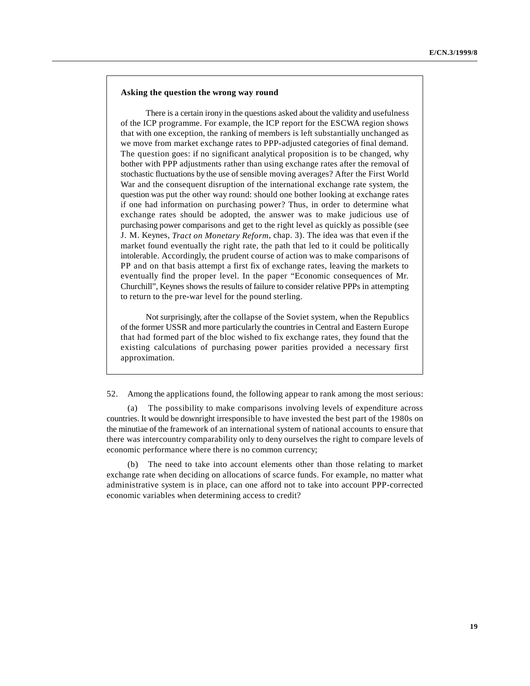#### **Asking the question the wrong way round**

There is a certain irony in the questions asked about the validity and usefulness of the ICP programme. For example, the ICP report for the ESCWA region shows that with one exception, the ranking of members is left substantially unchanged as we move from market exchange rates to PPP-adjusted categories of final demand. The question goes: if no significant analytical proposition is to be changed, why bother with PPP adjustments rather than using exchange rates after the removal of stochastic fluctuations by the use of sensible moving averages? After the First World War and the consequent disruption of the international exchange rate system, the question was put the other way round: should one bother looking at exchange rates if one had information on purchasing power? Thus, in order to determine what exchange rates should be adopted, the answer was to make judicious use of purchasing power comparisons and get to the right level as quickly as possible (see J. M. Keynes, *Tract on Monetary Reform*, chap. 3). The idea was that even if the market found eventually the right rate, the path that led to it could be politically intolerable. Accordingly, the prudent course of action was to make comparisons of PP and on that basis attempt a first fix of exchange rates, leaving the markets to eventually find the proper level. In the paper "Economic consequences of Mr. Churchill", Keynes shows the results of failure to consider relative PPPs in attempting to return to the pre-war level for the pound sterling.

Not surprisingly, after the collapse of the Soviet system, when the Republics of the former USSR and more particularly the countries in Central and Eastern Europe that had formed part of the bloc wished to fix exchange rates, they found that the existing calculations of purchasing power parities provided a necessary first approximation.

52. Among the applications found, the following appear to rank among the most serious:

(a) The possibility to make comparisons involving levels of expenditure across countries. It would be downright irresponsible to have invested the best part of the 1980s on the minutiae of the framework of an international system of national accounts to ensure that there was intercountry comparability only to deny ourselves the right to compare levels of economic performance where there is no common currency;

The need to take into account elements other than those relating to market exchange rate when deciding on allocations of scarce funds. For example, no matter what administrative system is in place, can one afford not to take into account PPP-corrected economic variables when determining access to credit?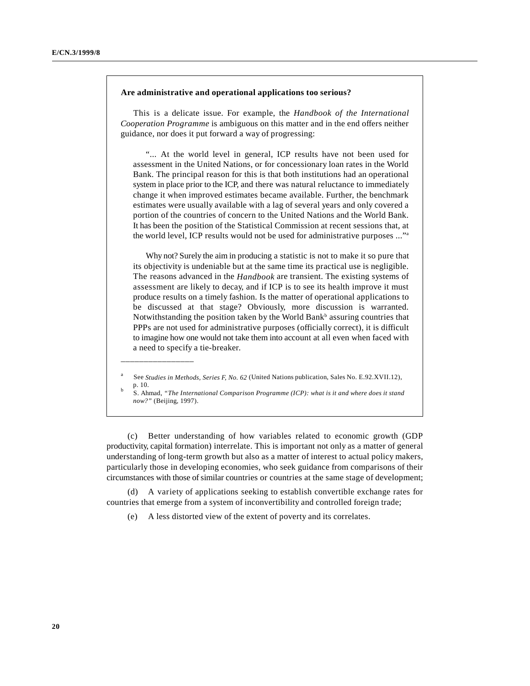#### **Are administrative and operational applications too serious?**

This is a delicate issue. For example, the *Handbook of the International Cooperation Programme* is ambiguous on this matter and in the end offers neither guidance, nor does it put forward a way of progressing:

"... At the world level in general, ICP results have not been used for assessment in the United Nations, or for concessionary loan rates in the World Bank. The principal reason for this is that both institutions had an operational system in place prior to the ICP, and there was natural reluctance to immediately change it when improved estimates became available. Further, the benchmark estimates were usually available with a lag of several years and only covered a portion of the countries of concern to the United Nations and the World Bank. It has been the position of the Statistical Commission at recent sessions that, at the world level, ICP results would not be used for administrative purposes ..."a

Why not? Surely the aim in producing a statistic is not to make it so pure that its objectivity is undeniable but at the same time its practical use is negligible. The reasons advanced in the *Handbook* are transient. The existing systems of assessment are likely to decay, and if ICP is to see its health improve it must produce results on a timely fashion. Is the matter of operational applications to be discussed at that stage? Obviously, more discussion is warranted. Notwithstanding the position taken by the World Bank<sup>b</sup> assuring countries that PPPs are not used for administrative purposes (officially correct), it is difficult to imagine how one would not take them into account at all even when faced with a need to specify a tie-breaker.

\_\_\_\_\_\_\_\_\_\_\_\_\_\_\_\_

(c) Better understanding of how variables related to economic growth (GDP productivity, capital formation) interrelate. This is important not only as a matter of general understanding of long-term growth but also as a matter of interest to actual policy makers, particularly those in developing economies, who seek guidance from comparisons of their circumstances with those of similar countries or countries at the same stage of development;

(d) A variety of applications seeking to establish convertible exchange rates for countries that emerge from a system of inconvertibility and controlled foreign trade;

(e) A less distorted view of the extent of poverty and its correlates.

See *Studies in Methods, Series F, No. 62* (United Nations publication, Sales No. E.92.XVII.12), p. 10.

S. Ahmad, *"The International Comparison Programme (ICP): what is it and where does it stand* <sup>b</sup> *now?"* (Beijing, 1997).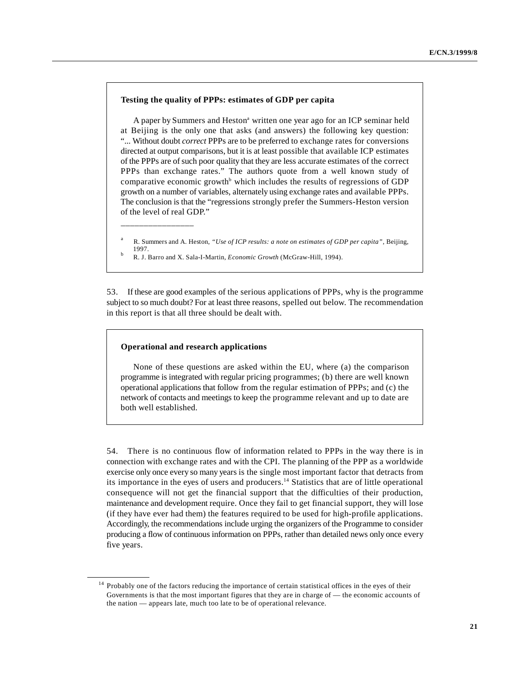#### **Testing the quality of PPPs: estimates of GDP per capita**

A paper by Summers and Heston<sup>a</sup> written one year ago for an ICP seminar held at Beijing is the only one that asks (and answers) the following key question: "... Without doubt *correct* PPPs are to be preferred to exchange rates for conversions directed at output comparisons, but it is at least possible that available ICP estimates of the PPPs are of such poor quality that they are less accurate estimates of the correct PPPs than exchange rates." The authors quote from a well known study of comparative economic growth<sup>b</sup> which includes the results of regressions of GDP growth on a number of variables, alternately using exchange rates and available PPPs. The conclusion is that the "regressions strongly prefer the Summers-Heston version of the level of real GDP."

- R. Summers and A. Heston, "Use of ICP results: a note on estimates of GDP per capita", Beijing, 1997.
- R. J. Barro and X. Sala-I-Martin, *Economic Growth* (McGraw-Hill, 1994). <sup>b</sup>

53. If these are good examples of the serious applications of PPPs, why is the programme subject to so much doubt? For at least three reasons, spelled out below. The recommendation in this report is that all three should be dealt with.

#### **Operational and research applications**

\_\_\_\_\_\_\_\_\_\_\_\_\_\_\_\_

None of these questions are asked within the EU, where (a) the comparison programme is integrated with regular pricing programmes; (b) there are well known operational applications that follow from the regular estimation of PPPs; and (c) the network of contacts and meetings to keep the programme relevant and up to date are both well established.

54. There is no continuous flow of information related to PPPs in the way there is in connection with exchange rates and with the CPI. The planning of the PPP as a worldwide exercise only once every so many years is the single most important factor that detracts from its importance in the eyes of users and producers.<sup>14</sup> Statistics that are of little operational consequence will not get the financial support that the difficulties of their production, maintenance and development require. Once they fail to get financial support, they will lose (if they have ever had them) the features required to be used for high-profile applications. Accordingly, the recommendations include urging the organizers of the Programme to consider producing a flow of continuous information on PPPs, rather than detailed news only once every five years.

 $14$  Probably one of the factors reducing the importance of certain statistical offices in the eyes of their Governments is that the most important figures that they are in charge of — the economic accounts of the nation — appears late, much too late to be of operational relevance.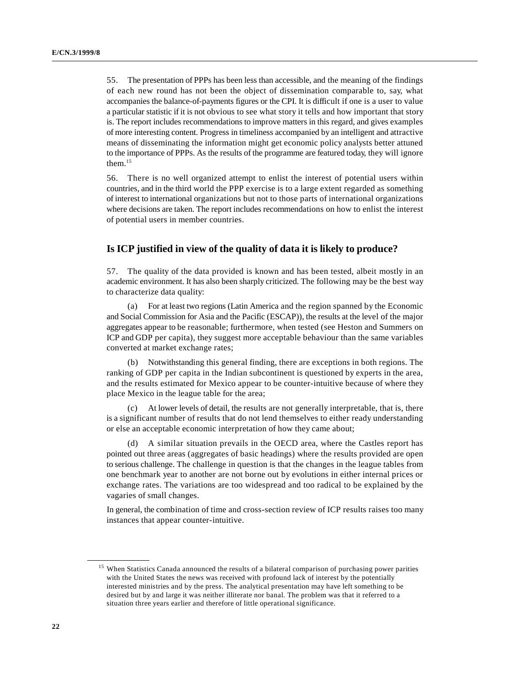55. The presentation of PPPs has been less than accessible, and the meaning of the findings of each new round has not been the object of dissemination comparable to, say, what accompanies the balance-of-payments figures or the CPI. It is difficult if one is a user to value a particular statistic if it is not obvious to see what story it tells and how important that story is. The report includes recommendations to improve matters in this regard, and gives examples of more interesting content. Progress in timeliness accompanied by an intelligent and attractive means of disseminating the information might get economic policy analysts better attuned to the importance of PPPs. As the results of the programme are featured today, they will ignore them.<sup>15</sup>

56. There is no well organized attempt to enlist the interest of potential users within countries, and in the third world the PPP exercise is to a large extent regarded as something of interest to international organizations but not to those parts of international organizations where decisions are taken. The report includes recommendations on how to enlist the interest of potential users in member countries.

# **Is ICP justified in view of the quality of data it is likely to produce?**

57. The quality of the data provided is known and has been tested, albeit mostly in an academic environment. It has also been sharply criticized. The following may be the best way to characterize data quality:

(a) For at least two regions (Latin America and the region spanned by the Economic and Social Commission for Asia and the Pacific (ESCAP)), the results at the level of the major aggregates appear to be reasonable; furthermore, when tested (see Heston and Summers on ICP and GDP per capita), they suggest more acceptable behaviour than the same variables converted at market exchange rates;

(b) Notwithstanding this general finding, there are exceptions in both regions. The ranking of GDP per capita in the Indian subcontinent is questioned by experts in the area, and the results estimated for Mexico appear to be counter-intuitive because of where they place Mexico in the league table for the area;

(c) At lower levels of detail, the results are not generally interpretable, that is, there is a significant number of results that do not lend themselves to either ready understanding or else an acceptable economic interpretation of how they came about;

(d) A similar situation prevails in the OECD area, where the Castles report has pointed out three areas (aggregates of basic headings) where the results provided are open to serious challenge. The challenge in question is that the changes in the league tables from one benchmark year to another are not borne out by evolutions in either internal prices or exchange rates. The variations are too widespread and too radical to be explained by the vagaries of small changes.

In general, the combination of time and cross-section review of ICP results raises too many instances that appear counter-intuitive.

<sup>&</sup>lt;sup>15</sup> When Statistics Canada announced the results of a bilateral comparison of purchasing power parities with the United States the news was received with profound lack of interest by the potentially interested ministries and by the press. The analytical presentation may have left something to be desired but by and large it was neither illiterate nor banal. The problem was that it referred to a situation three years earlier and therefore of little operational significance.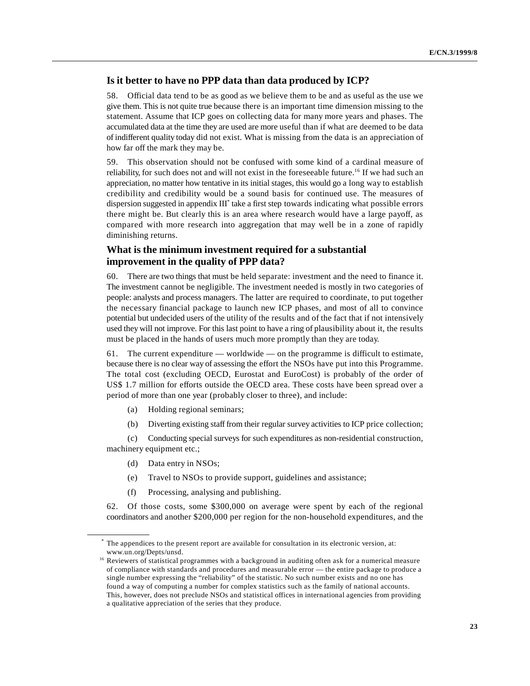# **Is it better to have no PPP data than data produced by ICP?**

58. Official data tend to be as good as we believe them to be and as useful as the use we give them. This is not quite true because there is an important time dimension missing to the statement. Assume that ICP goes on collecting data for many more years and phases. The accumulated data at the time they are used are more useful than if what are deemed to be data of indifferent quality today did not exist. What is missing from the data is an appreciation of how far off the mark they may be.

59. This observation should not be confused with some kind of a cardinal measure of reliability, for such does not and will not exist in the foreseeable future.<sup>16</sup> If we had such an appreciation, no matter how tentative in its initial stages, this would go a long way to establish credibility and credibility would be a sound basis for continued use. The measures of dispersion suggested in appendix  $III^*$  take a first step towards indicating what possible errors there might be. But clearly this is an area where research would have a large payoff, as compared with more research into aggregation that may well be in a zone of rapidly diminishing returns.

# **What is the minimum investment required for a substantial improvement in the quality of PPP data?**

60. There are two things that must be held separate: investment and the need to finance it. The investment cannot be negligible. The investment needed is mostly in two categories of people: analysts and process managers. The latter are required to coordinate, to put together the necessary financial package to launch new ICP phases, and most of all to convince potential but undecided users of the utility of the results and of the fact that if not intensively used they will not improve. For this last point to have a ring of plausibility about it, the results must be placed in the hands of users much more promptly than they are today.

61. The current expenditure — worldwide — on the programme is difficult to estimate, because there is no clear way of assessing the effort the NSOs have put into this Programme. The total cost (excluding OECD, Eurostat and EuroCost) is probably of the order of US\$ 1.7 million for efforts outside the OECD area. These costs have been spread over a period of more than one year (probably closer to three), and include:

- (a) Holding regional seminars;
- (b) Diverting existing staff from their regular survey activities to ICP price collection;

(c) Conducting special surveys for such expenditures as non-residential construction, machinery equipment etc.;

- (d) Data entry in NSOs;
- (e) Travel to NSOs to provide support, guidelines and assistance;
- (f) Processing, analysing and publishing.

62. Of those costs, some \$300,000 on average were spent by each of the regional coordinators and another \$200,000 per region for the non-household expenditures, and the

The appendices to the present report are available for consultation in its electronic version, at: \* www.un.org/Depts/unsd.

 $16$  Reviewers of statistical programmes with a background in auditing often ask for a numerical measure of compliance with standards and procedures and measurable error — the entire package to produce a single number expressing the "reliability" of the statistic. No such number exists and no one has found a way of computing a number for complex statistics such as the family of national accounts. This, however, does not preclude NSOs and statistical offices in international agencies from providing a qualitative appreciation of the series that they produce.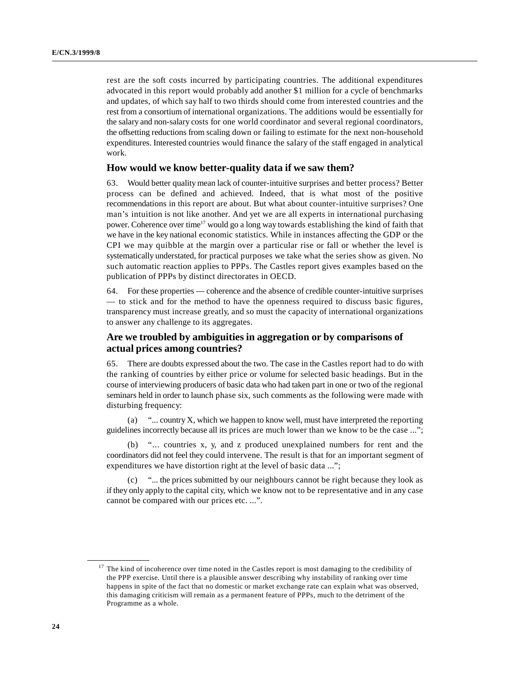rest are the soft costs incurred by participating countries. The additional expenditures advocated in this report would probably add another \$1 million for a cycle of benchmarks and updates, of which say half to two thirds should come from interested countries and the rest from a consortium of international organizations. The additions would be essentially for the salary and non-salary costs for one world coordinator and several regional coordinators, the offsetting reductions from scaling down or failing to estimate for the next non-household expenditures. Interested countries would finance the salary of the staff engaged in analytical work.

# **How would we know better-quality data if we saw them?**

63. Would better quality mean lack of counter-intuitive surprises and better process? Better process can be defined and achieved. Indeed, that is what most of the positive recommendations in this report are about. But what about counter-intuitive surprises? One man's intuition is not like another. And yet we are all experts in international purchasing power. Coherence over time<sup>17</sup> would go a long way towards establishing the kind of faith that we have in the key national economic statistics. While in instances affecting the GDP or the CPI we may quibble at the margin over a particular rise or fall or whether the level is systematically understated, for practical purposes we take what the series show as given. No such automatic reaction applies to PPPs. The Castles report gives examples based on the publication of PPPs by distinct directorates in OECD.

64. For these properties — coherence and the absence of credible counter-intuitive surprises — to stick and for the method to have the openness required to discuss basic figures, transparency must increase greatly, and so must the capacity of international organizations to answer any challenge to its aggregates.

# **Are we troubled by ambiguities in aggregation or by comparisons of actual prices among countries?**

There are doubts expressed about the two. The case in the Castles report had to do with the ranking of countries by either price or volume for selected basic headings. But in the course of interviewing producers of basic data who had taken part in one or two of the regional seminars held in order to launch phase six, such comments as the following were made with disturbing frequency:

(a) "... country X, which we happen to know well, must have interpreted the reporting guidelines incorrectly because all its prices are much lower than we know to be the case ...";

(b) "... countries x, y, and z produced unexplained numbers for rent and the coordinators did not feel they could intervene. The result is that for an important segment of expenditures we have distortion right at the level of basic data ...";

(c) "... the prices submitted by our neighbours cannot be right because they look as if they only apply to the capital city, which we know not to be representative and in any case cannot be compared with our prices etc. ...".

 $17$  The kind of incoherence over time noted in the Castles report is most damaging to the credibility of the PPP exercise. Until there is a plausible answer describing why instability of ranking over time happens in spite of the fact that no domestic or market exchange rate can explain what was observed, this damaging criticism will remain as a permanent feature of PPPs, much to the detriment of the Programme as a whole.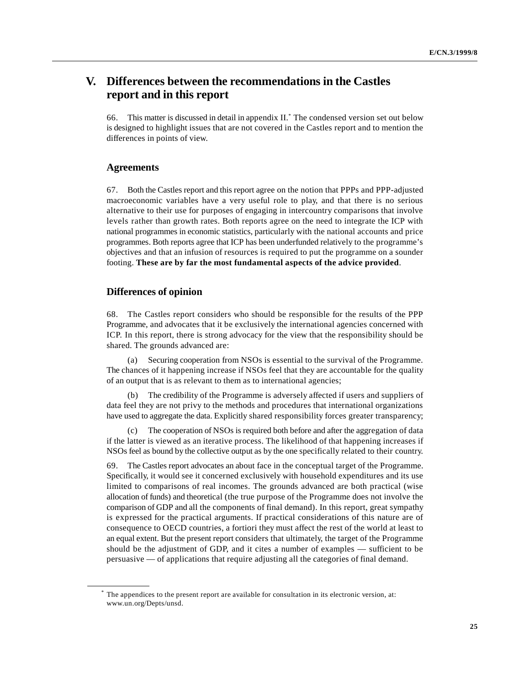# **V. Differences between the recommendations in the Castles report and in this report**

66. This matter is discussed in detail in appendix II. The condensed version set out below \* is designed to highlight issues that are not covered in the Castles report and to mention the differences in points of view.

# **Agreements**

67. Both the Castles report and this report agree on the notion that PPPs and PPP-adjusted macroeconomic variables have a very useful role to play, and that there is no serious alternative to their use for purposes of engaging in intercountry comparisons that involve levels rather than growth rates. Both reports agree on the need to integrate the ICP with national programmes in economic statistics, particularly with the national accounts and price programmes. Both reports agree that ICP has been underfunded relatively to the programme's objectives and that an infusion of resources is required to put the programme on a sounder footing. **These are by far the most fundamental aspects of the advice provided**.

### **Differences of opinion**

68. The Castles report considers who should be responsible for the results of the PPP Programme, and advocates that it be exclusively the international agencies concerned with ICP. In this report, there is strong advocacy for the view that the responsibility should be shared. The grounds advanced are:

(a) Securing cooperation from NSOs is essential to the survival of the Programme. The chances of it happening increase if NSOs feel that they are accountable for the quality of an output that is as relevant to them as to international agencies;

(b) The credibility of the Programme is adversely affected if users and suppliers of data feel they are not privy to the methods and procedures that international organizations have used to aggregate the data. Explicitly shared responsibility forces greater transparency;

(c) The cooperation of NSOs is required both before and after the aggregation of data if the latter is viewed as an iterative process. The likelihood of that happening increases if NSOs feel as bound by the collective output as by the one specifically related to their country.

69. The Castles report advocates an about face in the conceptual target of the Programme. Specifically, it would see it concerned exclusively with household expenditures and its use limited to comparisons of real incomes. The grounds advanced are both practical (wise allocation of funds) and theoretical (the true purpose of the Programme does not involve the comparison of GDP and all the components of final demand). In this report, great sympathy is expressed for the practical arguments. If practical considerations of this nature are of consequence to OECD countries, a fortiori they must affect the rest of the world at least to an equal extent. But the present report considers that ultimately, the target of the Programme should be the adjustment of GDP, and it cites a number of examples — sufficient to be persuasive — of applications that require adjusting all the categories of final demand.

The appendices to the present report are available for consultation in its electronic version, at: \* www.un.org/Depts/unsd.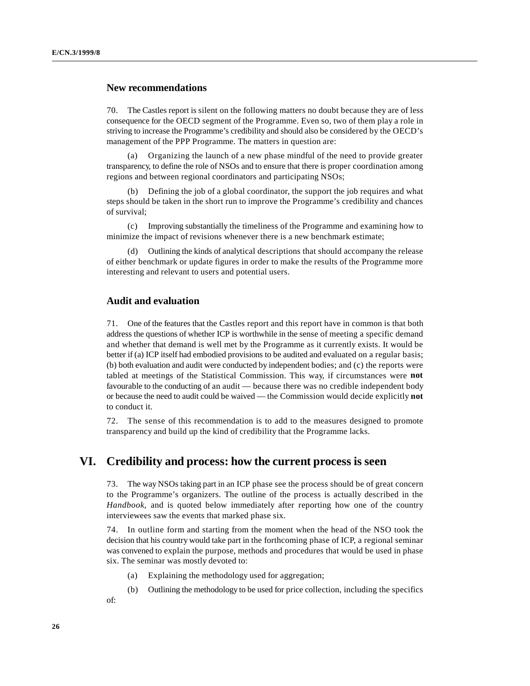### **New recommendations**

70. The Castles report is silent on the following matters no doubt because they are of less consequence for the OECD segment of the Programme. Even so, two of them play a role in striving to increase the Programme's credibility and should also be considered by the OECD's management of the PPP Programme. The matters in question are:

(a) Organizing the launch of a new phase mindful of the need to provide greater transparency, to define the role of NSOs and to ensure that there is proper coordination among regions and between regional coordinators and participating NSOs;

Defining the job of a global coordinator, the support the job requires and what steps should be taken in the short run to improve the Programme's credibility and chances of survival;

(c) Improving substantially the timeliness of the Programme and examining how to minimize the impact of revisions whenever there is a new benchmark estimate;

(d) Outlining the kinds of analytical descriptions that should accompany the release of either benchmark or update figures in order to make the results of the Programme more interesting and relevant to users and potential users.

# **Audit and evaluation**

71. One of the features that the Castles report and this report have in common is that both address the questions of whether ICP is worthwhile in the sense of meeting a specific demand and whether that demand is well met by the Programme as it currently exists. It would be better if (a) ICP itself had embodied provisions to be audited and evaluated on a regular basis; (b) both evaluation and audit were conducted by independent bodies; and (c) the reports were tabled at meetings of the Statistical Commission. This way, if circumstances were **not** favourable to the conducting of an audit — because there was no credible independent body or because the need to audit could be waived — the Commission would decide explicitly **not** to conduct it.

72. The sense of this recommendation is to add to the measures designed to promote transparency and build up the kind of credibility that the Programme lacks.

# **VI. Credibility and process: how the current process is seen**

73. The way NSOs taking part in an ICP phase see the process should be of great concern to the Programme's organizers. The outline of the process is actually described in the *Handbook*, and is quoted below immediately after reporting how one of the country interviewees saw the events that marked phase six.

74. In outline form and starting from the moment when the head of the NSO took the decision that his country would take part in the forthcoming phase of ICP, a regional seminar was convened to explain the purpose, methods and procedures that would be used in phase six. The seminar was mostly devoted to:

- (a) Explaining the methodology used for aggregation;
- (b) Outlining the methodology to be used for price collection, including the specifics
- of: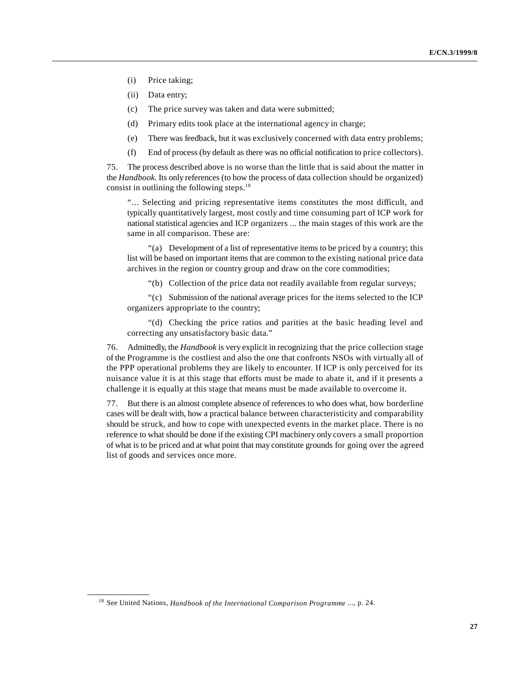- (i) Price taking;
- (ii) Data entry;
- (c) The price survey was taken and data were submitted;
- (d) Primary edits took place at the international agency in charge;
- (e) There was feedback, but it was exclusively concerned with data entry problems;
- (f) End of process (by default as there was no official notification to price collectors).

75. The process described above is no worse than the little that is said about the matter in the *Handbook*. Its only references (to how the process of data collection should be organized) consist in outlining the following steps. $18$ 

"... Selecting and pricing representative items constitutes the most difficult, and typically quantitatively largest, most costly and time consuming part of ICP work for national statistical agencies and ICP organizers ... the main stages of this work are the same in all comparison. These are:

"(a) Development of a list of representative items to be priced by a country; this list will be based on important items that are common to the existing national price data archives in the region or country group and draw on the core commodities;

"(b) Collection of the price data not readily available from regular surveys;

"(c) Submission of the national average prices for the items selected to the ICP organizers appropriate to the country;

"(d) Checking the price ratios and parities at the basic heading level and correcting any unsatisfactory basic data."

76. Admittedly, the *Handbook* is very explicit in recognizing that the price collection stage of the Programme is the costliest and also the one that confronts NSOs with virtually all of the PPP operational problems they are likely to encounter. If ICP is only perceived for its nuisance value it is at this stage that efforts must be made to abate it, and if it presents a challenge it is equally at this stage that means must be made available to overcome it.

77. But there is an almost complete absence of references to who does what, how borderline cases will be dealt with, how a practical balance between characteristicity and comparability should be struck, and how to cope with unexpected events in the market place. There is no reference to what should be done if the existing CPI machinery only covers a small proportion of what is to be priced and at what point that may constitute grounds for going over the agreed list of goods and services once more.

<sup>&</sup>lt;sup>18</sup> See United Nations, *Handbook of the International Comparison Programme* ..., p. 24.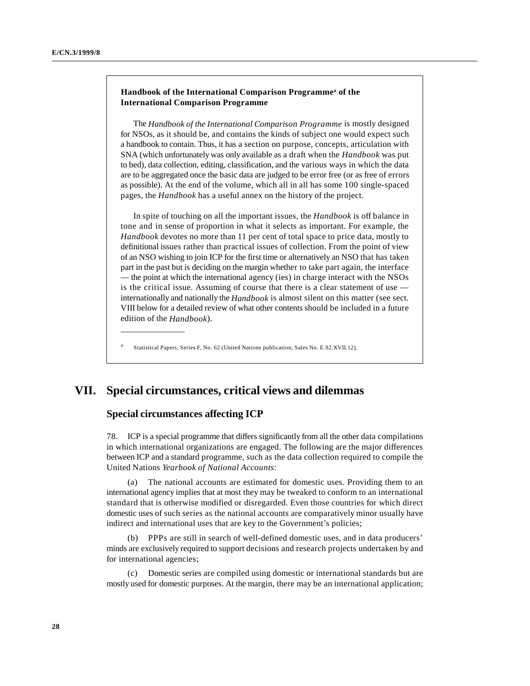### Handbook of the International Comparison Programme<sup>a</sup> of the **International Comparison Programme**

The *Handbook of the International Comparison Programme* is mostly designed for NSOs, as it should be, and contains the kinds of subject one would expect such a handbook to contain. Thus, it has a section on purpose, concepts, articulation with SNA (which unfortunately was only available as a draft when the *Handbook* was put to bed), data collection, editing, classification, and the various ways in which the data are to be aggregated once the basic data are judged to be error free (or as free of errors as possible). At the end of the volume, which all in all has some 100 single-spaced pages, the *Handbook* has a useful annex on the history of the project.

In spite of touching on all the important issues, the *Handbook* is off balance in tone and in sense of proportion in what it selects as important. For example, the *Handbook* devotes no more than 11 per cent of total space to price data, mostly to definitional issues rather than practical issues of collection. From the point of view of an NSO wishing to join ICP for the first time or alternatively an NSO that has taken part in the past but is deciding on the margin whether to take part again, the interface — the point at which the international agency (ies) in charge interact with the NSOs is the critical issue. Assuming of course that there is a clear statement of use internationally and nationally the *Handbook* is almost silent on this matter (see sect. VIII below for a detailed review of what other contents should be included in a future edition of the *Handbook*).

Statistical Papers, Series F, No. 62 (United Nations publication, Sales No. E.92.XVII.12).

# **VII. Special circumstances, critical views and dilemmas**

# **Special circumstances affecting ICP**

\_\_\_\_\_\_\_\_\_\_\_\_\_\_

78. ICP is a special programme that differs significantly from all the other data compilations in which international organizations are engaged. The following are the major differences between ICP and a standard programme, such as the data collection required to compile the United Nations *Yearbook of National Accounts*:

The national accounts are estimated for domestic uses. Providing them to an international agency implies that at most they may be tweaked to conform to an international standard that is otherwise modified or disregarded. Even those countries for which direct domestic uses of such series as the national accounts are comparatively minor usually have indirect and international uses that are key to the Government's policies;

(b) PPPs are still in search of well-defined domestic uses, and in data producers' minds are exclusively required to support decisions and research projects undertaken by and for international agencies;

(c) Domestic series are compiled using domestic or international standards but are mostly used for domestic purposes. At the margin, there may be an international application;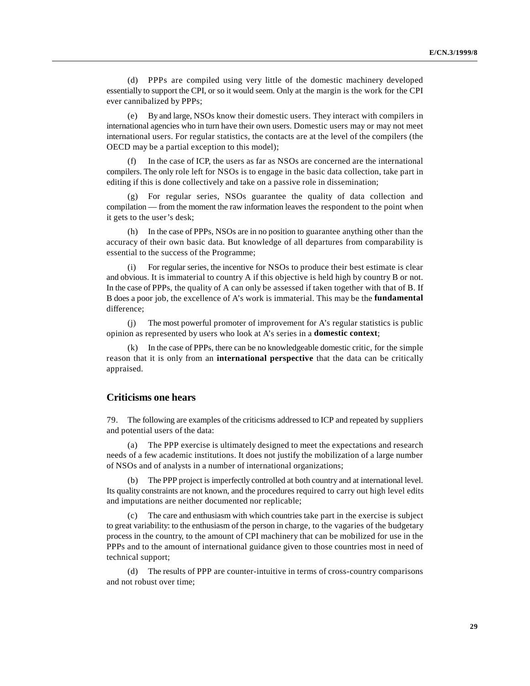(d) PPPs are compiled using very little of the domestic machinery developed essentially to support the CPI, or so it would seem. Only at the margin is the work for the CPI ever cannibalized by PPPs;

(e) By and large, NSOs know their domestic users. They interact with compilers in international agencies who in turn have their own users. Domestic users may or may not meet international users. For regular statistics, the contacts are at the level of the compilers (the OECD may be a partial exception to this model);

In the case of ICP, the users as far as NSOs are concerned are the international compilers. The only role left for NSOs is to engage in the basic data collection, take part in editing if this is done collectively and take on a passive role in dissemination;

(g) For regular series, NSOs guarantee the quality of data collection and compilation — from the moment the raw information leaves the respondent to the point when it gets to the user's desk;

(h) In the case of PPPs, NSOs are in no position to guarantee anything other than the accuracy of their own basic data. But knowledge of all departures from comparability is essential to the success of the Programme;

(i) For regular series, the incentive for NSOs to produce their best estimate is clear and obvious. It is immaterial to country A if this objective is held high by country B or not. In the case of PPPs, the quality of A can only be assessed if taken together with that of B. If B does a poor job, the excellence of A's work is immaterial. This may be the **fundamental** difference;

(j) The most powerful promoter of improvement for A's regular statistics is public opinion as represented by users who look at A's series in a **domestic context**;

(k) In the case of PPPs, there can be no knowledgeable domestic critic, for the simple reason that it is only from an **international perspective** that the data can be critically appraised.

### **Criticisms one hears**

79. The following are examples of the criticisms addressed to ICP and repeated by suppliers and potential users of the data:

(a) The PPP exercise is ultimately designed to meet the expectations and research needs of a few academic institutions. It does not justify the mobilization of a large number of NSOs and of analysts in a number of international organizations;

(b) The PPP project is imperfectly controlled at both country and at international level. Its quality constraints are not known, and the procedures required to carry out high level edits and imputations are neither documented nor replicable;

(c) The care and enthusiasm with which countries take part in the exercise is subject to great variability: to the enthusiasm of the person in charge, to the vagaries of the budgetary process in the country, to the amount of CPI machinery that can be mobilized for use in the PPPs and to the amount of international guidance given to those countries most in need of technical support;

(d) The results of PPP are counter-intuitive in terms of cross-country comparisons and not robust over time;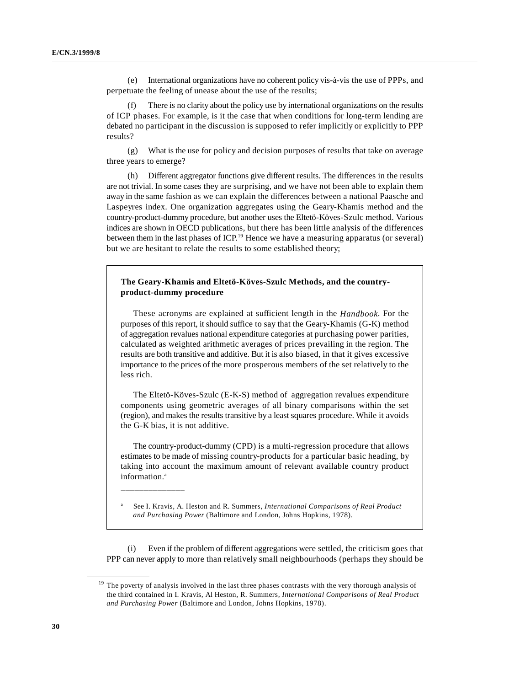(e) International organizations have no coherent policy vis-à-vis the use of PPPs, and perpetuate the feeling of unease about the use of the results;

There is no clarity about the policy use by international organizations on the results of ICP phases. For example, is it the case that when conditions for long-term lending are debated no participant in the discussion is supposed to refer implicitly or explicitly to PPP results?

(g) What is the use for policy and decision purposes of results that take on average three years to emerge?

(h) Different aggregator functions give different results. The differences in the results are not trivial. In some cases they are surprising, and we have not been able to explain them away in the same fashion as we can explain the differences between a national Paasche and Laspeyres index. One organization aggregates using the Geary-Khamis method and the country-product-dummy procedure, but another uses the Eltetö-Köves-Szulc method. Various indices are shown in OECD publications, but there has been little analysis of the differences between them in the last phases of ICP.<sup>19</sup> Hence we have a measuring apparatus (or several) but we are hesitant to relate the results to some established theory;

### **The Geary-Khamis and Eltetö-Köves-Szulc Methods, and the countryproduct-dummy procedure**

These acronyms are explained at sufficient length in the *Handbook*. For the purposes of this report, it should suffice to say that the Geary-Khamis (G-K) method of aggregation revalues national expenditure categories at purchasing power parities, calculated as weighted arithmetic averages of prices prevailing in the region. The results are both transitive and additive. But it is also biased, in that it gives excessive importance to the prices of the more prosperous members of the set relatively to the less rich.

The Eltetö-Köves-Szulc (E-K-S) method of aggregation revalues expenditure components using geometric averages of all binary comparisons within the set (region), and makes the results transitive by a least squares procedure. While it avoids the G-K bias, it is not additive.

The country-product-dummy (CPD) is a multi-regression procedure that allows estimates to be made of missing country-products for a particular basic heading, by taking into account the maximum amount of relevant available country product information.<sup>a</sup>

See I. Kravis, A. Heston and R. Summers, *International Comparisons of Real Product* <sup>a</sup> *and Purchasing Power* (Baltimore and London, Johns Hopkins, 1978).

\_\_\_\_\_\_\_\_\_\_\_\_\_\_

(i) Even if the problem of different aggregations were settled, the criticism goes that PPP can never apply to more than relatively small neighbourhoods (perhaps they should be

 $19$  The poverty of analysis involved in the last three phases contrasts with the very thorough analysis of the third contained in I. Kravis, Al Heston, R. Summers, *International Comparisons of Real Product and Purchasing Power* (Baltimore and London, Johns Hopkins, 1978).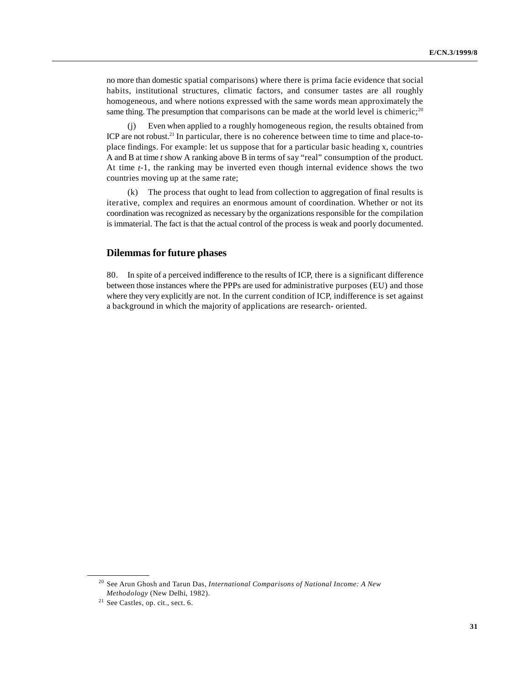no more than domestic spatial comparisons) where there is prima facie evidence that social habits, institutional structures, climatic factors, and consumer tastes are all roughly homogeneous, and where notions expressed with the same words mean approximately the same thing. The presumption that comparisons can be made at the world level is chimeric;<sup>20</sup>

(j) Even when applied to a roughly homogeneous region, the results obtained from ICP are not robust.<sup>21</sup> In particular, there is no coherence between time to time and place-toplace findings. For example: let us suppose that for a particular basic heading x, countries A and B at time *t* show A ranking above B in terms of say "real" consumption of the product. At time *t*-1, the ranking may be inverted even though internal evidence shows the two countries moving up at the same rate;

(k) The process that ought to lead from collection to aggregation of final results is iterative, complex and requires an enormous amount of coordination. Whether or not its coordination was recognized as necessary by the organizations responsible for the compilation is immaterial. The fact is that the actual control of the process is weak and poorly documented.

### **Dilemmas for future phases**

80. In spite of a perceived indifference to the results of ICP, there is a significant difference between those instances where the PPPs are used for administrative purposes (EU) and those where they very explicitly are not. In the current condition of ICP, indifference is set against a background in which the majority of applications are research- oriented.

<sup>&</sup>lt;sup>20</sup> See Arun Ghosh and Tarun Das, *International Comparisons of National Income: A New Methodology* (New Delhi, 1982).

 $21$  See Castles, op. cit., sect. 6.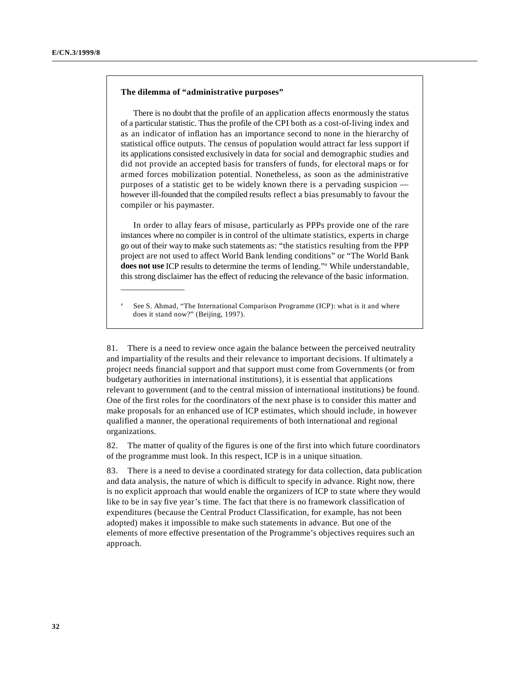#### **The dilemma of "administrative purposes"**

\_\_\_\_\_\_\_\_\_\_\_\_\_\_

There is no doubt that the profile of an application affects enormously the status of a particular statistic. Thus the profile of the CPI both as a cost-of-living index and as an indicator of inflation has an importance second to none in the hierarchy of statistical office outputs. The census of population would attract far less support if its applications consisted exclusively in data for social and demographic studies and did not provide an accepted basis for transfers of funds, for electoral maps or for armed forces mobilization potential. Nonetheless, as soon as the administrative purposes of a statistic get to be widely known there is a pervading suspicion however ill-founded that the compiled results reflect a bias presumably to favour the compiler or his paymaster.

In order to allay fears of misuse, particularly as PPPs provide one of the rare instances where no compiler is in control of the ultimate statistics, experts in charge go out of their way to make such statements as: "the statistics resulting from the PPP project are not used to affect World Bank lending conditions" or "The World Bank does not use ICP results to determine the terms of lending."<sup>a</sup> While understandable, this strong disclaimer has the effect of reducing the relevance of the basic information.

See S. Ahmad, "The International Comparison Programme (ICP): what is it and where does it stand now?" (Beijing, 1997).

81. There is a need to review once again the balance between the perceived neutrality and impartiality of the results and their relevance to important decisions. If ultimately a project needs financial support and that support must come from Governments (or from budgetary authorities in international institutions), it is essential that applications relevant to government (and to the central mission of international institutions) be found. One of the first roles for the coordinators of the next phase is to consider this matter and make proposals for an enhanced use of ICP estimates, which should include, in however qualified a manner, the operational requirements of both international and regional organizations.

82. The matter of quality of the figures is one of the first into which future coordinators of the programme must look. In this respect, ICP is in a unique situation.

83. There is a need to devise a coordinated strategy for data collection, data publication and data analysis, the nature of which is difficult to specify in advance. Right now, there is no explicit approach that would enable the organizers of ICP to state where they would like to be in say five year's time. The fact that there is no framework classification of expenditures (because the Central Product Classification, for example, has not been adopted) makes it impossible to make such statements in advance. But one of the elements of more effective presentation of the Programme's objectives requires such an approach.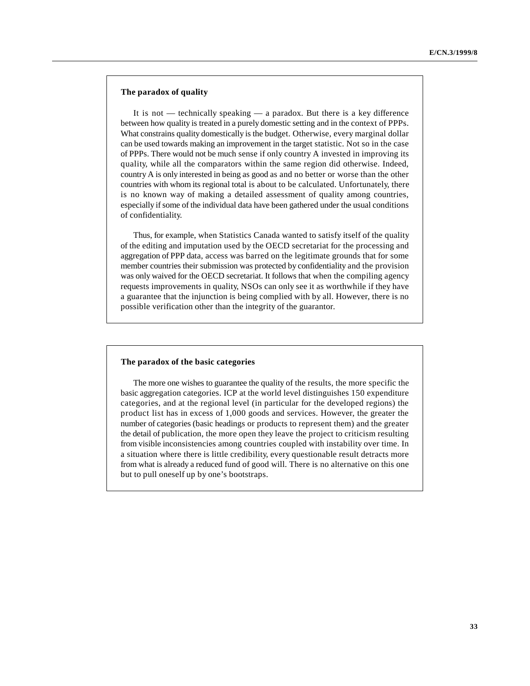#### **The paradox of quality**

It is not — technically speaking — a paradox. But there is a key difference between how quality is treated in a purely domestic setting and in the context of PPPs. What constrains quality domestically is the budget. Otherwise, every marginal dollar can be used towards making an improvement in the target statistic. Not so in the case of PPPs. There would not be much sense if only country A invested in improving its quality, while all the comparators within the same region did otherwise. Indeed, country A is only interested in being as good as and no better or worse than the other countries with whom its regional total is about to be calculated. Unfortunately, there is no known way of making a detailed assessment of quality among countries, especially if some of the individual data have been gathered under the usual conditions of confidentiality.

Thus, for example, when Statistics Canada wanted to satisfy itself of the quality of the editing and imputation used by the OECD secretariat for the processing and aggregation of PPP data, access was barred on the legitimate grounds that for some member countries their submission was protected by confidentiality and the provision was only waived for the OECD secretariat. It follows that when the compiling agency requests improvements in quality, NSOs can only see it as worthwhile if they have a guarantee that the injunction is being complied with by all. However, there is no possible verification other than the integrity of the guarantor.

#### **The paradox of the basic categories**

The more one wishes to guarantee the quality of the results, the more specific the basic aggregation categories. ICP at the world level distinguishes 150 expenditure categories, and at the regional level (in particular for the developed regions) the product list has in excess of 1,000 goods and services. However, the greater the number of categories (basic headings or products to represent them) and the greater the detail of publication, the more open they leave the project to criticism resulting from visible inconsistencies among countries coupled with instability over time. In a situation where there is little credibility, every questionable result detracts more from what is already a reduced fund of good will. There is no alternative on this one but to pull oneself up by one's bootstraps.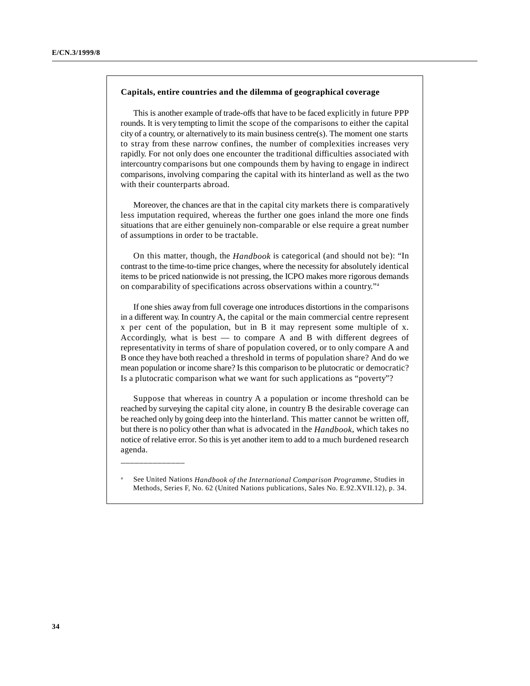#### **Capitals, entire countries and the dilemma of geographical coverage**

This is another example of trade-offs that have to be faced explicitly in future PPP rounds. It is very tempting to limit the scope of the comparisons to either the capital city of a country, or alternatively to its main business centre(s). The moment one starts to stray from these narrow confines, the number of complexities increases very rapidly. For not only does one encounter the traditional difficulties associated with intercountry comparisons but one compounds them by having to engage in indirect comparisons, involving comparing the capital with its hinterland as well as the two with their counterparts abroad.

Moreover, the chances are that in the capital city markets there is comparatively less imputation required, whereas the further one goes inland the more one finds situations that are either genuinely non-comparable or else require a great number of assumptions in order to be tractable.

On this matter, though, the *Handbook* is categorical (and should not be): "In contrast to the time-to-time price changes, where the necessity for absolutely identical items to be priced nationwide is not pressing, the ICPO makes more rigorous demands on comparability of specifications across observations within a country."a

If one shies away from full coverage one introduces distortions in the comparisons in a different way. In country A, the capital or the main commercial centre represent x per cent of the population, but in B it may represent some multiple of x. Accordingly, what is best — to compare A and B with different degrees of representativity in terms of share of population covered, or to only compare A and B once they have both reached a threshold in terms of population share? And do we mean population or income share? Is this comparison to be plutocratic or democratic? Is a plutocratic comparison what we want for such applications as "poverty"?

Suppose that whereas in country A a population or income threshold can be reached by surveying the capital city alone, in country B the desirable coverage can be reached only by going deep into the hinterland. This matter cannot be written off, but there is no policy other than what is advocated in the *Handbook*, which takes no notice of relative error. So this is yet another item to add to a much burdened research agenda.

\_\_\_\_\_\_\_\_\_\_\_\_\_\_

See United Nations *Handbook of the International Comparison Programme*, Studies in <sup>a</sup> Methods, Series F, No. 62 (United Nations publications, Sales No. E.92.XVII.12), p. 34.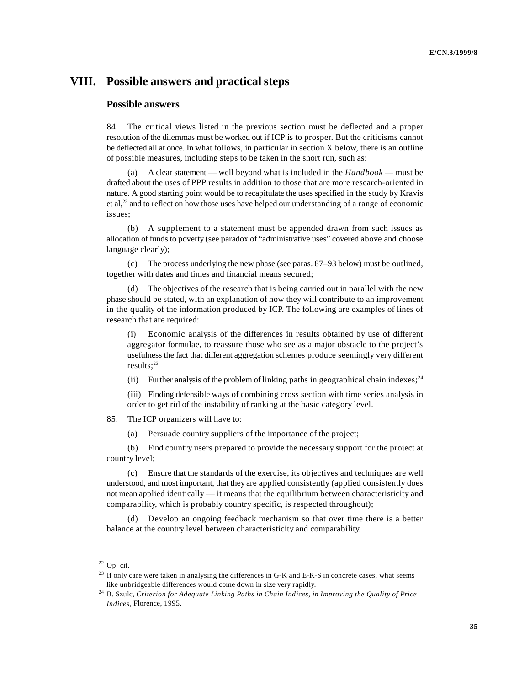# **VIII. Possible answers and practical steps**

## **Possible answers**

84. The critical views listed in the previous section must be deflected and a proper resolution of the dilemmas must be worked out if ICP is to prosper. But the criticisms cannot be deflected all at once. In what follows, in particular in section X below, there is an outline of possible measures, including steps to be taken in the short run, such as:

(a) A clear statement — well beyond what is included in the *Handbook* — must be drafted about the uses of PPP results in addition to those that are more research-oriented in nature. A good starting point would be to recapitulate the uses specified in the study by Kravis et al, $^{22}$  and to reflect on how those uses have helped our understanding of a range of economic issues;

(b) A supplement to a statement must be appended drawn from such issues as allocation of funds to poverty (see paradox of "administrative uses" covered above and choose language clearly);

(c) The process underlying the new phase (see paras. 87–93 below) must be outlined, together with dates and times and financial means secured;

(d) The objectives of the research that is being carried out in parallel with the new phase should be stated, with an explanation of how they will contribute to an improvement in the quality of the information produced by ICP. The following are examples of lines of research that are required:

(i) Economic analysis of the differences in results obtained by use of different aggregator formulae, to reassure those who see as a major obstacle to the project's usefulness the fact that different aggregation schemes produce seemingly very different results; $^{23}$ 

(ii) Further analysis of the problem of linking paths in geographical chain indexes;<sup>24</sup>

(iii) Finding defensible ways of combining cross section with time series analysis in order to get rid of the instability of ranking at the basic category level.

85. The ICP organizers will have to:

(a) Persuade country suppliers of the importance of the project;

(b) Find country users prepared to provide the necessary support for the project at country level;

(c) Ensure that the standards of the exercise, its objectives and techniques are well understood, and most important, that they are applied consistently (applied consistently does not mean applied identically — it means that the equilibrium between characteristicity and comparability, which is probably country specific, is respected throughout);

(d) Develop an ongoing feedback mechanism so that over time there is a better balance at the country level between characteristicity and comparability.

 $22$  Op. cit.

 $23$  If only care were taken in analysing the differences in G-K and E-K-S in concrete cases, what seems like unbridgeable differences would come down in size very rapidly.

<sup>&</sup>lt;sup>24</sup> B. Szulc, *Criterion for Adequate Linking Paths in Chain Indices, in Improving the Quality of Price Indices,* Florence, 1995.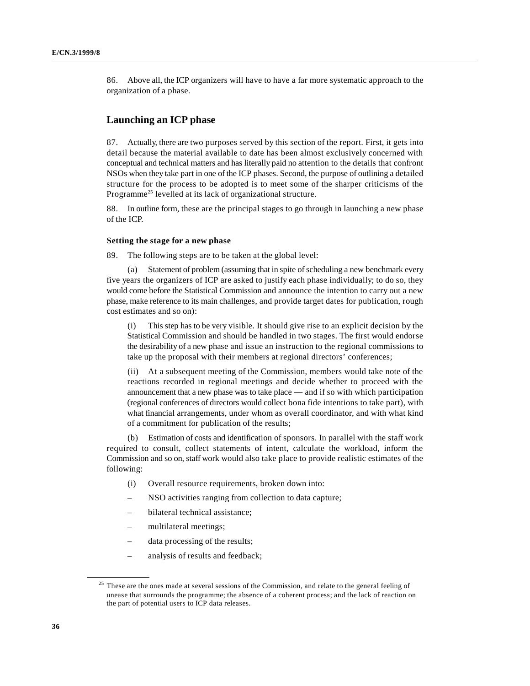86. Above all, the ICP organizers will have to have a far more systematic approach to the organization of a phase.

# **Launching an ICP phase**

87. Actually, there are two purposes served by this section of the report. First, it gets into detail because the material available to date has been almost exclusively concerned with conceptual and technical matters and has literally paid no attention to the details that confront NSOs when they take part in one of the ICP phases. Second, the purpose of outlining a detailed structure for the process to be adopted is to meet some of the sharper criticisms of the Programme<sup>25</sup> levelled at its lack of organizational structure.

88. In outline form, these are the principal stages to go through in launching a new phase of the ICP.

#### **Setting the stage for a new phase**

89. The following steps are to be taken at the global level:

(a) Statement of problem (assuming that in spite of scheduling a new benchmark every five years the organizers of ICP are asked to justify each phase individually; to do so, they would come before the Statistical Commission and announce the intention to carry out a new phase, make reference to its main challenges, and provide target dates for publication, rough cost estimates and so on):

(i) This step has to be very visible. It should give rise to an explicit decision by the Statistical Commission and should be handled in two stages. The first would endorse the desirability of a new phase and issue an instruction to the regional commissions to take up the proposal with their members at regional directors' conferences;

(ii) At a subsequent meeting of the Commission, members would take note of the reactions recorded in regional meetings and decide whether to proceed with the announcement that a new phase was to take place — and if so with which participation (regional conferences of directors would collect bona fide intentions to take part), with what financial arrangements, under whom as overall coordinator, and with what kind of a commitment for publication of the results;

(b) Estimation of costs and identification of sponsors. In parallel with the staff work required to consult, collect statements of intent, calculate the workload, inform the Commission and so on, staff work would also take place to provide realistic estimates of the following:

- (i) Overall resource requirements, broken down into:
- NSO activities ranging from collection to data capture;
- bilateral technical assistance;
- multilateral meetings;
- data processing of the results;
- analysis of results and feedback;

 $25$  These are the ones made at several sessions of the Commission, and relate to the general feeling of unease that surrounds the programme; the absence of a coherent process; and the lack of reaction on the part of potential users to ICP data releases.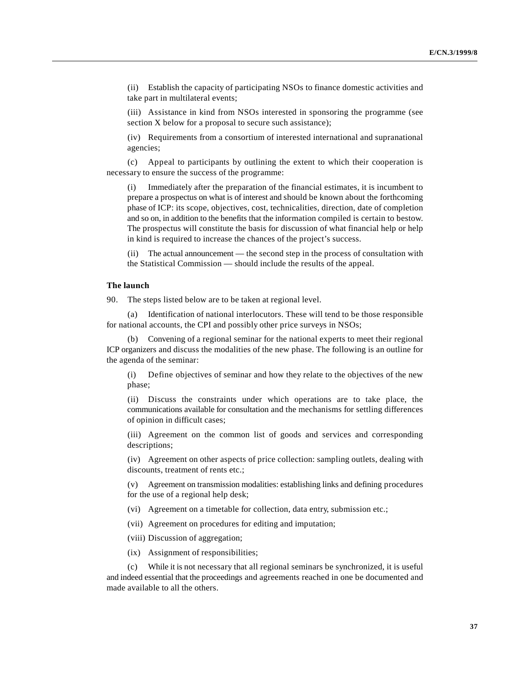(ii) Establish the capacity of participating NSOs to finance domestic activities and take part in multilateral events;

(iii) Assistance in kind from NSOs interested in sponsoring the programme (see section X below for a proposal to secure such assistance);

(iv) Requirements from a consortium of interested international and supranational agencies;

(c) Appeal to participants by outlining the extent to which their cooperation is necessary to ensure the success of the programme:

(i) Immediately after the preparation of the financial estimates, it is incumbent to prepare a prospectus on what is of interest and should be known about the forthcoming phase of ICP: its scope, objectives, cost, technicalities, direction, date of completion and so on, in addition to the benefits that the information compiled is certain to bestow. The prospectus will constitute the basis for discussion of what financial help or help in kind is required to increase the chances of the project's success.

(ii) The actual announcement — the second step in the process of consultation with the Statistical Commission — should include the results of the appeal.

#### **The launch**

90. The steps listed below are to be taken at regional level.

(a) Identification of national interlocutors. These will tend to be those responsible for national accounts, the CPI and possibly other price surveys in NSOs;

(b) Convening of a regional seminar for the national experts to meet their regional ICP organizers and discuss the modalities of the new phase. The following is an outline for the agenda of the seminar:

(i) Define objectives of seminar and how they relate to the objectives of the new phase;

(ii) Discuss the constraints under which operations are to take place, the communications available for consultation and the mechanisms for settling differences of opinion in difficult cases;

(iii) Agreement on the common list of goods and services and corresponding descriptions;

(iv) Agreement on other aspects of price collection: sampling outlets, dealing with discounts, treatment of rents etc.;

(v) Agreement on transmission modalities: establishing links and defining procedures for the use of a regional help desk;

(vi) Agreement on a timetable for collection, data entry, submission etc.;

(vii) Agreement on procedures for editing and imputation;

(viii) Discussion of aggregation;

(ix) Assignment of responsibilities;

(c) While it is not necessary that all regional seminars be synchronized, it is useful and indeed essential that the proceedings and agreements reached in one be documented and made available to all the others.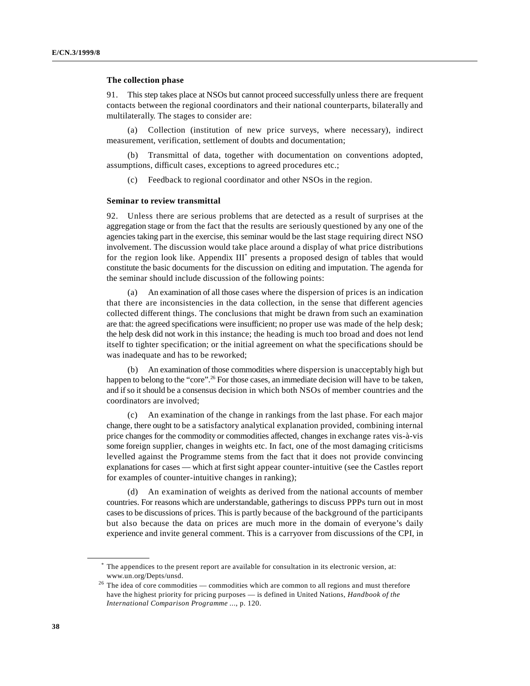#### **The collection phase**

91. This step takes place at NSOs but cannot proceed successfully unless there are frequent contacts between the regional coordinators and their national counterparts, bilaterally and multilaterally. The stages to consider are:

(a) Collection (institution of new price surveys, where necessary), indirect measurement, verification, settlement of doubts and documentation;

(b) Transmittal of data, together with documentation on conventions adopted, assumptions, difficult cases, exceptions to agreed procedures etc.;

(c) Feedback to regional coordinator and other NSOs in the region.

#### **Seminar to review transmittal**

92. Unless there are serious problems that are detected as a result of surprises at the aggregation stage or from the fact that the results are seriously questioned by any one of the agencies taking part in the exercise, this seminar would be the last stage requiring direct NSO involvement. The discussion would take place around a display of what price distributions for the region look like. Appendix  $III^*$  presents a proposed design of tables that would constitute the basic documents for the discussion on editing and imputation. The agenda for the seminar should include discussion of the following points:

(a) An examination of all those cases where the dispersion of prices is an indication that there are inconsistencies in the data collection, in the sense that different agencies collected different things. The conclusions that might be drawn from such an examination are that: the agreed specifications were insufficient; no proper use was made of the help desk; the help desk did not work in this instance; the heading is much too broad and does not lend itself to tighter specification; or the initial agreement on what the specifications should be was inadequate and has to be reworked;

(b) An examination of those commodities where dispersion is unacceptably high but happen to belong to the "core".<sup>26</sup> For those cases, an immediate decision will have to be taken, and if so it should be a consensus decision in which both NSOs of member countries and the coordinators are involved;

(c) An examination of the change in rankings from the last phase. For each major change, there ought to be a satisfactory analytical explanation provided, combining internal price changes for the commodity or commodities affected, changes in exchange rates vis-à-vis some foreign supplier, changes in weights etc. In fact, one of the most damaging criticisms levelled against the Programme stems from the fact that it does not provide convincing explanations for cases — which at first sight appear counter-intuitive (see the Castles report for examples of counter-intuitive changes in ranking);

(d) An examination of weights as derived from the national accounts of member countries. For reasons which are understandable, gatherings to discuss PPPs turn out in most cases to be discussions of prices. This is partly because of the background of the participants but also because the data on prices are much more in the domain of everyone's daily experience and invite general comment. This is a carryover from discussions of the CPI, in

The appendices to the present report are available for consultation in its electronic version, at: \* www.un.org/Depts/unsd.

 $26$  The idea of core commodities — commodities which are common to all regions and must therefore have the highest priority for pricing purposes — is defined in United Nations, *Handbook of the International Comparison Programme* ..., p. 120.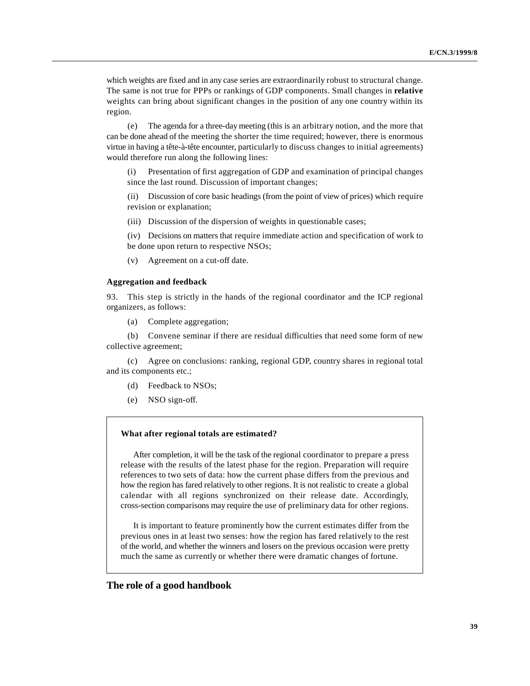which weights are fixed and in any case series are extraordinarily robust to structural change. The same is not true for PPPs or rankings of GDP components. Small changes in **relative** weights can bring about significant changes in the position of any one country within its region.

(e) The agenda for a three-day meeting (this is an arbitrary notion, and the more that can be done ahead of the meeting the shorter the time required; however, there is enormous virtue in having a tête-à-tête encounter, particularly to discuss changes to initial agreements) would therefore run along the following lines:

(i) Presentation of first aggregation of GDP and examination of principal changes since the last round. Discussion of important changes;

(ii) Discussion of core basic headings (from the point of view of prices) which require revision or explanation;

(iii) Discussion of the dispersion of weights in questionable cases;

(iv) Decisions on matters that require immediate action and specification of work to be done upon return to respective NSOs;

(v) Agreement on a cut-off date.

#### **Aggregation and feedback**

93. This step is strictly in the hands of the regional coordinator and the ICP regional organizers, as follows:

(a) Complete aggregation;

(b) Convene seminar if there are residual difficulties that need some form of new collective agreement;

(c) Agree on conclusions: ranking, regional GDP, country shares in regional total and its components etc.;

- (d) Feedback to NSOs;
- (e) NSO sign-off.

#### **What after regional totals are estimated?**

After completion, it will be the task of the regional coordinator to prepare a press release with the results of the latest phase for the region. Preparation will require references to two sets of data: how the current phase differs from the previous and how the region has fared relatively to other regions. It is not realistic to create a global calendar with all regions synchronized on their release date. Accordingly, cross-section comparisons may require the use of preliminary data for other regions.

It is important to feature prominently how the current estimates differ from the previous ones in at least two senses: how the region has fared relatively to the rest of the world, and whether the winners and losers on the previous occasion were pretty much the same as currently or whether there were dramatic changes of fortune.

#### **The role of a good handbook**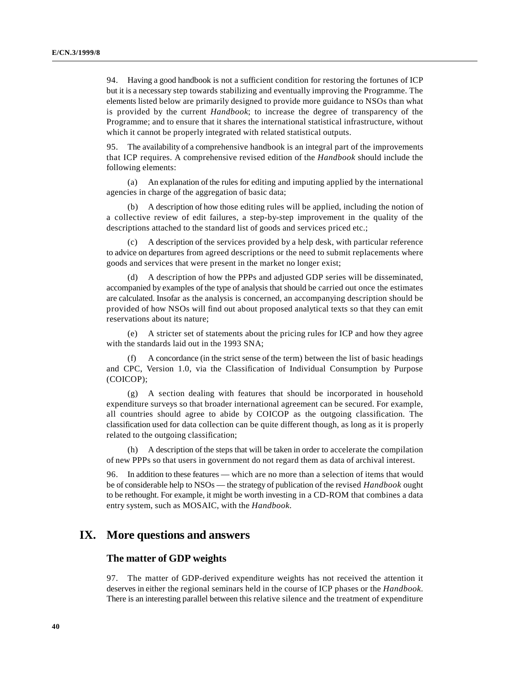94. Having a good handbook is not a sufficient condition for restoring the fortunes of ICP but it is a necessary step towards stabilizing and eventually improving the Programme. The elements listed below are primarily designed to provide more guidance to NSOs than what is provided by the current *Handbook*; to increase the degree of transparency of the Programme; and to ensure that it shares the international statistical infrastructure, without which it cannot be properly integrated with related statistical outputs.

95. The availability of a comprehensive handbook is an integral part of the improvements that ICP requires. A comprehensive revised edition of the *Handbook* should include the following elements:

(a) An explanation of the rules for editing and imputing applied by the international agencies in charge of the aggregation of basic data;

(b) A description of how those editing rules will be applied, including the notion of a collective review of edit failures, a step-by-step improvement in the quality of the descriptions attached to the standard list of goods and services priced etc.;

(c) A description of the services provided by a help desk, with particular reference to advice on departures from agreed descriptions or the need to submit replacements where goods and services that were present in the market no longer exist;

(d) A description of how the PPPs and adjusted GDP series will be disseminated, accompanied by examples of the type of analysis that should be carried out once the estimates are calculated. Insofar as the analysis is concerned, an accompanying description should be provided of how NSOs will find out about proposed analytical texts so that they can emit reservations about its nature;

(e) A stricter set of statements about the pricing rules for ICP and how they agree with the standards laid out in the 1993 SNA;

(f) A concordance (in the strict sense of the term) between the list of basic headings and CPC, Version 1.0, via the Classification of Individual Consumption by Purpose (COICOP);

(g) A section dealing with features that should be incorporated in household expenditure surveys so that broader international agreement can be secured. For example, all countries should agree to abide by COICOP as the outgoing classification. The classification used for data collection can be quite different though, as long as it is properly related to the outgoing classification;

(h) A description of the steps that will be taken in order to accelerate the compilation of new PPPs so that users in government do not regard them as data of archival interest.

96. In addition to these features — which are no more than a selection of items that would be of considerable help to NSOs — the strategy of publication of the revised *Handbook* ought to be rethought. For example, it might be worth investing in a CD-ROM that combines a data entry system, such as MOSAIC, with the *Handbook*.

# **IX. More questions and answers**

# **The matter of GDP weights**

97. The matter of GDP-derived expenditure weights has not received the attention it deserves in either the regional seminars held in the course of ICP phases or the *Handbook*. There is an interesting parallel between this relative silence and the treatment of expenditure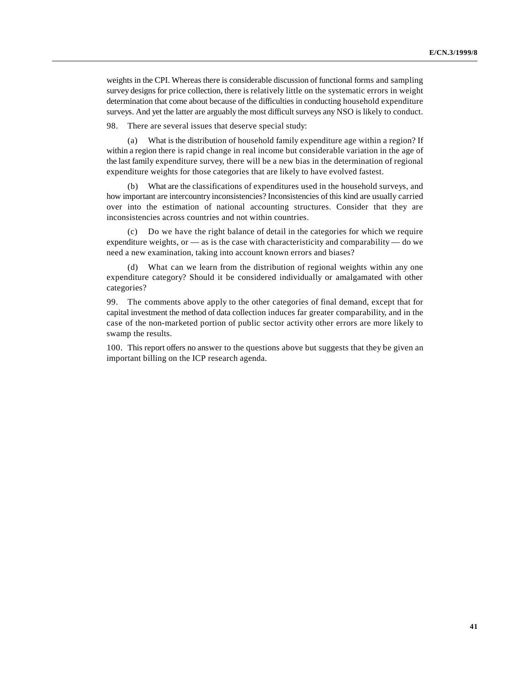weights in the CPI. Whereas there is considerable discussion of functional forms and sampling survey designs for price collection, there is relatively little on the systematic errors in weight determination that come about because of the difficulties in conducting household expenditure surveys. And yet the latter are arguably the most difficult surveys any NSO is likely to conduct.

98. There are several issues that deserve special study:

(a) What is the distribution of household family expenditure age within a region? If within a region there is rapid change in real income but considerable variation in the age of the last family expenditure survey, there will be a new bias in the determination of regional expenditure weights for those categories that are likely to have evolved fastest.

(b) What are the classifications of expenditures used in the household surveys, and how important are intercountry inconsistencies? Inconsistencies of this kind are usually carried over into the estimation of national accounting structures. Consider that they are inconsistencies across countries and not within countries.

(c) Do we have the right balance of detail in the categories for which we require expenditure weights, or — as is the case with characteristicity and comparability — do we need a new examination, taking into account known errors and biases?

(d) What can we learn from the distribution of regional weights within any one expenditure category? Should it be considered individually or amalgamated with other categories?

99. The comments above apply to the other categories of final demand, except that for capital investment the method of data collection induces far greater comparability, and in the case of the non-marketed portion of public sector activity other errors are more likely to swamp the results.

100. This report offers no answer to the questions above but suggests that they be given an important billing on the ICP research agenda.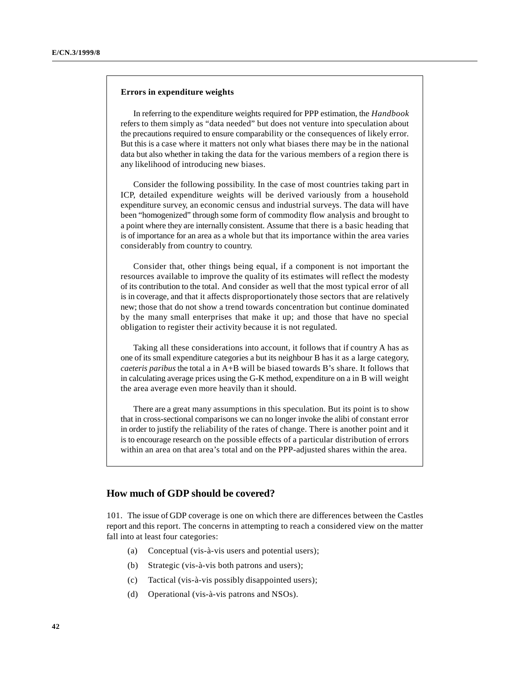#### **Errors in expenditure weights**

In referring to the expenditure weights required for PPP estimation, the *Handbook* refers to them simply as "data needed" but does not venture into speculation about the precautions required to ensure comparability or the consequences of likely error. But this is a case where it matters not only what biases there may be in the national data but also whether in taking the data for the various members of a region there is any likelihood of introducing new biases.

Consider the following possibility. In the case of most countries taking part in ICP, detailed expenditure weights will be derived variously from a household expenditure survey, an economic census and industrial surveys. The data will have been "homogenized" through some form of commodity flow analysis and brought to a point where they are internally consistent. Assume that there is a basic heading that is of importance for an area as a whole but that its importance within the area varies considerably from country to country.

Consider that, other things being equal, if a component is not important the resources available to improve the quality of its estimates will reflect the modesty of its contribution to the total. And consider as well that the most typical error of all is in coverage, and that it affects disproportionately those sectors that are relatively new; those that do not show a trend towards concentration but continue dominated by the many small enterprises that make it up; and those that have no special obligation to register their activity because it is not regulated.

Taking all these considerations into account, it follows that if country A has as one of its small expenditure categories a but its neighbour B has it as a large category, *caeteris paribus* the total a in A+B will be biased towards B's share. It follows that in calculating average prices using the G-K method, expenditure on a in B will weight the area average even more heavily than it should.

There are a great many assumptions in this speculation. But its point is to show that in cross-sectional comparisons we can no longer invoke the alibi of constant error in order to justify the reliability of the rates of change. There is another point and it is to encourage research on the possible effects of a particular distribution of errors within an area on that area's total and on the PPP-adjusted shares within the area.

#### **How much of GDP should be covered?**

101. The issue of GDP coverage is one on which there are differences between the Castles report and this report. The concerns in attempting to reach a considered view on the matter fall into at least four categories:

- (a) Conceptual (vis-à-vis users and potential users);
- (b) Strategic (vis-à-vis both patrons and users);
- (c) Tactical (vis-à-vis possibly disappointed users);
- (d) Operational (vis-à-vis patrons and NSOs).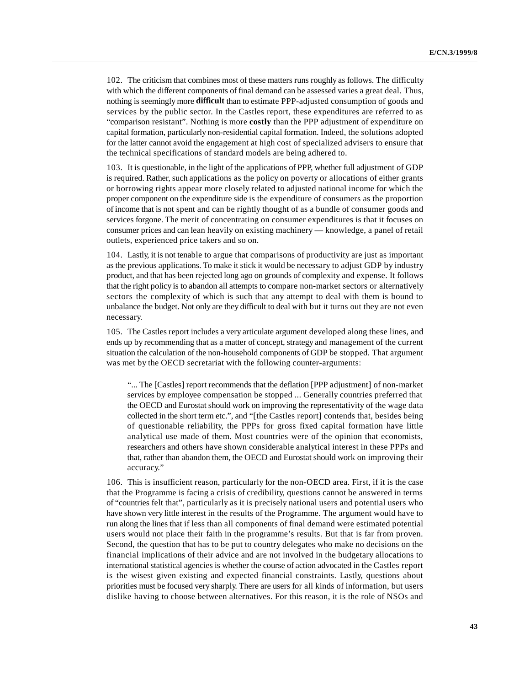102. The criticism that combines most of these matters runs roughly as follows. The difficulty with which the different components of final demand can be assessed varies a great deal. Thus, nothing is seemingly more **difficult** than to estimate PPP-adjusted consumption of goods and services by the public sector. In the Castles report, these expenditures are referred to as "comparison resistant". Nothing is more **costly** than the PPP adjustment of expenditure on capital formation, particularly non-residential capital formation. Indeed, the solutions adopted for the latter cannot avoid the engagement at high cost of specialized advisers to ensure that the technical specifications of standard models are being adhered to.

103. It is questionable, in the light of the applications of PPP, whether full adjustment of GDP is required. Rather, such applications as the policy on poverty or allocations of either grants or borrowing rights appear more closely related to adjusted national income for which the proper component on the expenditure side is the expenditure of consumers as the proportion of income that is not spent and can be rightly thought of as a bundle of consumer goods and services forgone. The merit of concentrating on consumer expenditures is that it focuses on consumer prices and can lean heavily on existing machinery — knowledge, a panel of retail outlets, experienced price takers and so on.

104. Lastly, it is not tenable to argue that comparisons of productivity are just as important as the previous applications. To make it stick it would be necessary to adjust GDP by industry product, and that has been rejected long ago on grounds of complexity and expense. It follows that the right policy is to abandon all attempts to compare non-market sectors or alternatively sectors the complexity of which is such that any attempt to deal with them is bound to unbalance the budget. Not only are they difficult to deal with but it turns out they are not even necessary.

105. The Castles report includes a very articulate argument developed along these lines, and ends up by recommending that as a matter of concept, strategy and management of the current situation the calculation of the non-household components of GDP be stopped. That argument was met by the OECD secretariat with the following counter-arguments:

"... The [Castles] report recommends that the deflation [PPP adjustment] of non-market services by employee compensation be stopped ... Generally countries preferred that the OECD and Eurostat should work on improving the representativity of the wage data collected in the short term etc.", and "[the Castles report] contends that, besides being of questionable reliability, the PPPs for gross fixed capital formation have little analytical use made of them. Most countries were of the opinion that economists, researchers and others have shown considerable analytical interest in these PPPs and that, rather than abandon them, the OECD and Eurostat should work on improving their accuracy."

106. This is insufficient reason, particularly for the non-OECD area. First, if it is the case that the Programme is facing a crisis of credibility, questions cannot be answered in terms of "countries felt that", particularly as it is precisely national users and potential users who have shown very little interest in the results of the Programme. The argument would have to run along the lines that if less than all components of final demand were estimated potential users would not place their faith in the programme's results. But that is far from proven. Second, the question that has to be put to country delegates who make no decisions on the financial implications of their advice and are not involved in the budgetary allocations to international statistical agencies is whether the course of action advocated in the Castles report is the wisest given existing and expected financial constraints. Lastly, questions about priorities must be focused very sharply. There are users for all kinds of information, but users dislike having to choose between alternatives. For this reason, it is the role of NSOs and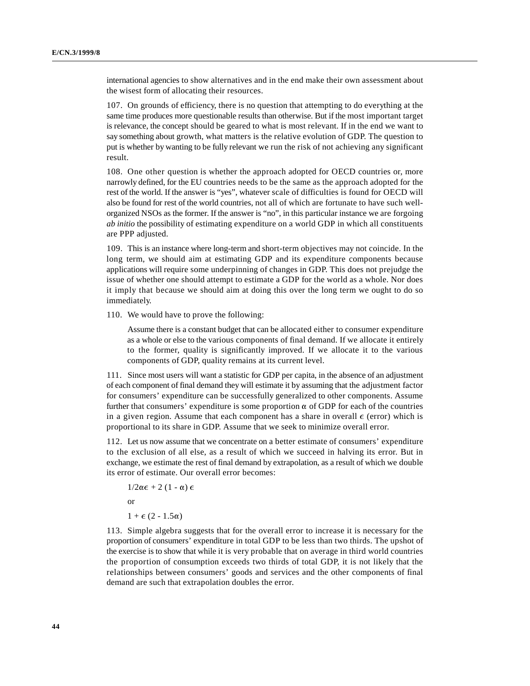international agencies to show alternatives and in the end make their own assessment about the wisest form of allocating their resources.

107. On grounds of efficiency, there is no question that attempting to do everything at the same time produces more questionable results than otherwise. But if the most important target is relevance, the concept should be geared to what is most relevant. If in the end we want to say something about growth, what matters is the relative evolution of GDP. The question to put is whether by wanting to be fully relevant we run the risk of not achieving any significant result.

108. One other question is whether the approach adopted for OECD countries or, more narrowly defined, for the EU countries needs to be the same as the approach adopted for the rest of the world. If the answer is "yes", whatever scale of difficulties is found for OECD will also be found for rest of the world countries, not all of which are fortunate to have such wellorganized NSOs as the former. If the answer is "no", in this particular instance we are forgoing *ab initio* the possibility of estimating expenditure on a world GDP in which all constituents are PPP adjusted.

109. This is an instance where long-term and short-term objectives may not coincide. In the long term, we should aim at estimating GDP and its expenditure components because applications will require some underpinning of changes in GDP. This does not prejudge the issue of whether one should attempt to estimate a GDP for the world as a whole. Nor does it imply that because we should aim at doing this over the long term we ought to do so immediately.

110. We would have to prove the following:

Assume there is a constant budget that can be allocated either to consumer expenditure as a whole or else to the various components of final demand. If we allocate it entirely to the former, quality is significantly improved. If we allocate it to the various components of GDP, quality remains at its current level.

111. Since most users will want a statistic for GDP per capita, in the absence of an adjustment of each component of final demand they will estimate it by assuming that the adjustment factor for consumers' expenditure can be successfully generalized to other components. Assume further that consumers' expenditure is some proportion  $\alpha$  of GDP for each of the countries in a given region. Assume that each component has a share in overall  $\epsilon$  (error) which is proportional to its share in GDP. Assume that we seek to minimize overall error.

112. Let us now assume that we concentrate on a better estimate of consumers' expenditure to the exclusion of all else, as a result of which we succeed in halving its error. But in exchange, we estimate the rest of final demand by extrapolation, as a result of which we double its error of estimate. Our overall error becomes:

 $1/2\alpha \epsilon + 2(1 - \alpha) \epsilon$ or  $1 + \epsilon (2 - 1.5\alpha)$ 

113. Simple algebra suggests that for the overall error to increase it is necessary for the proportion of consumers' expenditure in total GDP to be less than two thirds. The upshot of the exercise is to show that while it is very probable that on average in third world countries the proportion of consumption exceeds two thirds of total GDP, it is not likely that the relationships between consumers' goods and services and the other components of final demand are such that extrapolation doubles the error.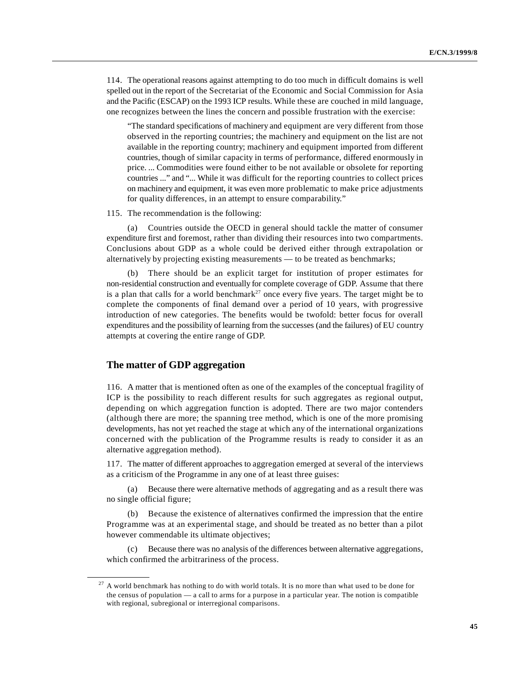114. The operational reasons against attempting to do too much in difficult domains is well spelled out in the report of the Secretariat of the Economic and Social Commission for Asia and the Pacific (ESCAP) on the 1993 ICP results. While these are couched in mild language, one recognizes between the lines the concern and possible frustration with the exercise:

"The standard specifications of machinery and equipment are very different from those observed in the reporting countries; the machinery and equipment on the list are not available in the reporting country; machinery and equipment imported from different countries, though of similar capacity in terms of performance, differed enormously in price. ... Commodities were found either to be not available or obsolete for reporting countries ..." and "... While it was difficult for the reporting countries to collect prices on machinery and equipment, it was even more problematic to make price adjustments for quality differences, in an attempt to ensure comparability."

115. The recommendation is the following:

Countries outside the OECD in general should tackle the matter of consumer expenditure first and foremost, rather than dividing their resources into two compartments. Conclusions about GDP as a whole could be derived either through extrapolation or alternatively by projecting existing measurements — to be treated as benchmarks;

(b) There should be an explicit target for institution of proper estimates for non-residential construction and eventually for complete coverage of GDP. Assume that there is a plan that calls for a world benchmark<sup>27</sup> once every five years. The target might be to complete the components of final demand over a period of 10 years, with progressive introduction of new categories. The benefits would be twofold: better focus for overall expenditures and the possibility of learning from the successes (and the failures) of EU country attempts at covering the entire range of GDP.

### **The matter of GDP aggregation**

116. A matter that is mentioned often as one of the examples of the conceptual fragility of ICP is the possibility to reach different results for such aggregates as regional output, depending on which aggregation function is adopted. There are two major contenders (although there are more; the spanning tree method, which is one of the more promising developments, has not yet reached the stage at which any of the international organizations concerned with the publication of the Programme results is ready to consider it as an alternative aggregation method).

117. The matter of different approaches to aggregation emerged at several of the interviews as a criticism of the Programme in any one of at least three guises:

(a) Because there were alternative methods of aggregating and as a result there was no single official figure;

Because the existence of alternatives confirmed the impression that the entire Programme was at an experimental stage, and should be treated as no better than a pilot however commendable its ultimate objectives;

(c) Because there was no analysis of the differences between alternative aggregations, which confirmed the arbitrariness of the process.

 $27$  A world benchmark has nothing to do with world totals. It is no more than what used to be done for the census of population — a call to arms for a purpose in a particular year. The notion is compatible with regional, subregional or interregional comparisons.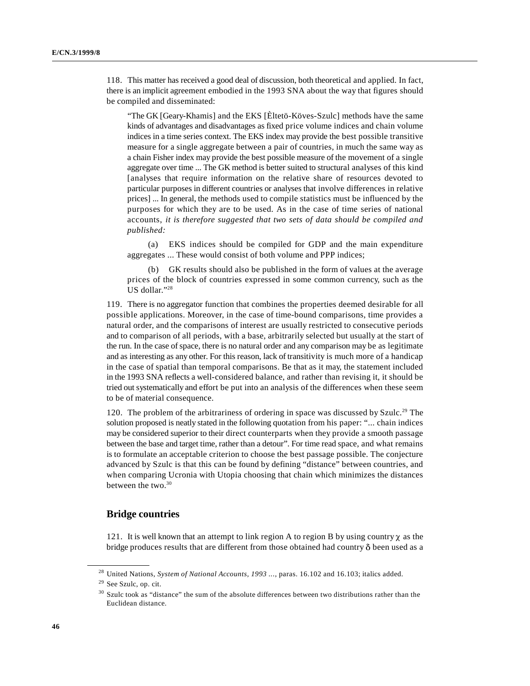118. This matter has received a good deal of discussion, both theoretical and applied. In fact, there is an implicit agreement embodied in the 1993 SNA about the way that figures should be compiled and disseminated:

"The GK [Geary-Khamis] and the EKS [Èltetö-Köves-Szulc] methods have the same kinds of advantages and disadvantages as fixed price volume indices and chain volume indices in a time series context. The EKS index may provide the best possible transitive measure for a single aggregate between a pair of countries, in much the same way as a chain Fisher index may provide the best possible measure of the movement of a single aggregate over time ... The GK method is better suited to structural analyses of this kind [analyses that require information on the relative share of resources devoted to particular purposes in different countries or analyses that involve differences in relative prices] ... In general, the methods used to compile statistics must be influenced by the purposes for which they are to be used. As in the case of time series of national accounts, *it is therefore suggested that two sets of data should be compiled and published:*

(a) EKS indices should be compiled for GDP and the main expenditure aggregates ... These would consist of both volume and PPP indices;

(b) GK results should also be published in the form of values at the average prices of the block of countries expressed in some common currency, such as the US dollar."28

119. There is no aggregator function that combines the properties deemed desirable for all possible applications. Moreover, in the case of time-bound comparisons, time provides a natural order, and the comparisons of interest are usually restricted to consecutive periods and to comparison of all periods, with a base, arbitrarily selected but usually at the start of the run. In the case of space, there is no natural order and any comparison may be as legitimate and as interesting as any other. For this reason, lack of transitivity is much more of a handicap in the case of spatial than temporal comparisons. Be that as it may, the statement included in the 1993 SNA reflects a well-considered balance, and rather than revising it, it should be tried out systematically and effort be put into an analysis of the differences when these seem to be of material consequence.

120. The problem of the arbitrariness of ordering in space was discussed by Szulc.<sup>29</sup> The solution proposed is neatly stated in the following quotation from his paper: "... chain indices may be considered superior to their direct counterparts when they provide a smooth passage between the base and target time, rather than a detour". For time read space, and what remains is to formulate an acceptable criterion to choose the best passage possible. The conjecture advanced by Szulc is that this can be found by defining "distance" between countries, and when comparing Ucronia with Utopia choosing that chain which minimizes the distances between the two. $30$ 

# **Bridge countries**

121. It is well known that an attempt to link region A to region B by using country  $\gamma$  as the bridge produces results that are different from those obtained had country  $\delta$  been used as a

<sup>&</sup>lt;sup>28</sup> United Nations, *System of National Accounts, 1993* ..., paras. 16.102 and 16.103; italics added.

<sup>&</sup>lt;sup>29</sup> See Szulc, op. cit.

 $30$  Szulc took as "distance" the sum of the absolute differences between two distributions rather than the Euclidean distance.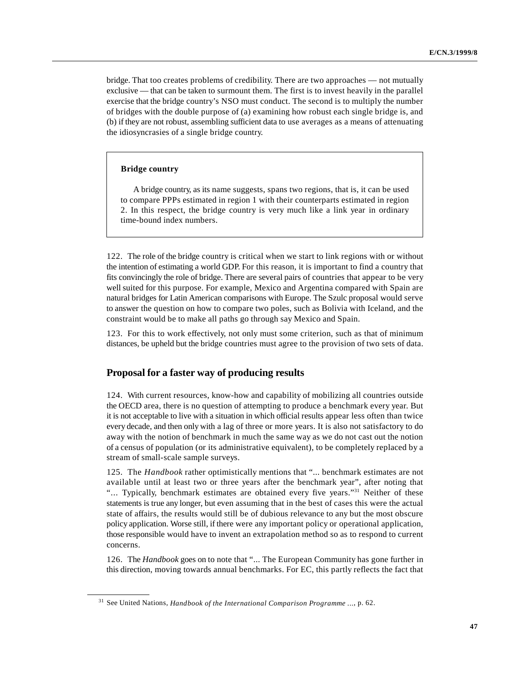bridge. That too creates problems of credibility. There are two approaches — not mutually exclusive — that can be taken to surmount them. The first is to invest heavily in the parallel exercise that the bridge country's NSO must conduct. The second is to multiply the number of bridges with the double purpose of (a) examining how robust each single bridge is, and (b) if they are not robust, assembling sufficient data to use averages as a means of attenuating the idiosyncrasies of a single bridge country.

#### **Bridge country**

A bridge country, as its name suggests, spans two regions, that is, it can be used to compare PPPs estimated in region 1 with their counterparts estimated in region 2. In this respect, the bridge country is very much like a link year in ordinary time-bound index numbers.

122. The role of the bridge country is critical when we start to link regions with or without the intention of estimating a world GDP. For this reason, it is important to find a country that fits convincingly the role of bridge. There are several pairs of countries that appear to be very well suited for this purpose. For example, Mexico and Argentina compared with Spain are natural bridges for Latin American comparisons with Europe. The Szulc proposal would serve to answer the question on how to compare two poles, such as Bolivia with Iceland, and the constraint would be to make all paths go through say Mexico and Spain.

123. For this to work effectively, not only must some criterion, such as that of minimum distances, be upheld but the bridge countries must agree to the provision of two sets of data.

## **Proposal for a faster way of producing results**

124. With current resources, know-how and capability of mobilizing all countries outside the OECD area, there is no question of attempting to produce a benchmark every year. But it is not acceptable to live with a situation in which official results appear less often than twice every decade, and then only with a lag of three or more years. It is also not satisfactory to do away with the notion of benchmark in much the same way as we do not cast out the notion of a census of population (or its administrative equivalent), to be completely replaced by a stream of small-scale sample surveys.

125. The *Handbook* rather optimistically mentions that "... benchmark estimates are not available until at least two or three years after the benchmark year", after noting that "... Typically, benchmark estimates are obtained every five years."<sup>31</sup> Neither of these statements is true any longer, but even assuming that in the best of cases this were the actual state of affairs, the results would still be of dubious relevance to any but the most obscure policy application. Worse still, if there were any important policy or operational application, those responsible would have to invent an extrapolation method so as to respond to current concerns.

126. The *Handbook* goes on to note that "... The European Community has gone further in this direction, moving towards annual benchmarks. For EC, this partly reflects the fact that

<sup>&</sup>lt;sup>31</sup> See United Nations, *Handbook of the International Comparison Programme ..., p. 62.*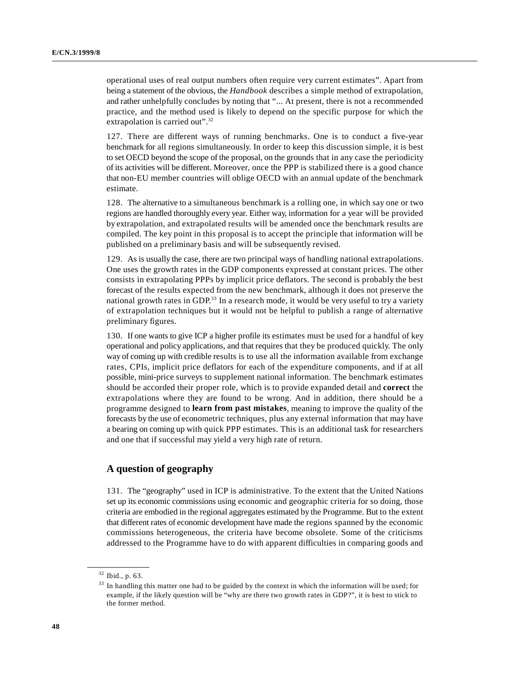operational uses of real output numbers often require very current estimates". Apart from being a statement of the obvious, the *Handbook* describes a simple method of extrapolation, and rather unhelpfully concludes by noting that "... At present, there is not a recommended practice, and the method used is likely to depend on the specific purpose for which the extrapolation is carried out".<sup>32</sup>

127. There are different ways of running benchmarks. One is to conduct a five-year benchmark for all regions simultaneously. In order to keep this discussion simple, it is best to set OECD beyond the scope of the proposal, on the grounds that in any case the periodicity of its activities will be different. Moreover, once the PPP is stabilized there is a good chance that non-EU member countries will oblige OECD with an annual update of the benchmark estimate.

128. The alternative to a simultaneous benchmark is a rolling one, in which say one or two regions are handled thoroughly every year. Either way, information for a year will be provided by extrapolation, and extrapolated results will be amended once the benchmark results are compiled. The key point in this proposal is to accept the principle that information will be published on a preliminary basis and will be subsequently revised.

129. As is usually the case, there are two principal ways of handling national extrapolations. One uses the growth rates in the GDP components expressed at constant prices. The other consists in extrapolating PPPs by implicit price deflators. The second is probably the best forecast of the results expected from the new benchmark, although it does not preserve the national growth rates in GDP.<sup>33</sup> In a research mode, it would be very useful to try a variety of extrapolation techniques but it would not be helpful to publish a range of alternative preliminary figures.

130. If one wants to give ICP a higher profile its estimates must be used for a handful of key operational and policy applications, and that requires that they be produced quickly. The only way of coming up with credible results is to use all the information available from exchange rates, CPIs, implicit price deflators for each of the expenditure components, and if at all possible, mini-price surveys to supplement national information. The benchmark estimates should be accorded their proper role, which is to provide expanded detail and **correct** the extrapolations where they are found to be wrong. And in addition, there should be a programme designed to **learn from past mistakes**, meaning to improve the quality of the forecasts by the use of econometric techniques, plus any external information that may have a bearing on coming up with quick PPP estimates. This is an additional task for researchers and one that if successful may yield a very high rate of return.

# **A question of geography**

131. The "geography" used in ICP is administrative. To the extent that the United Nations set up its economic commissions using economic and geographic criteria for so doing, those criteria are embodied in the regional aggregates estimated by the Programme. But to the extent that different rates of economic development have made the regions spanned by the economic commissions heterogeneous, the criteria have become obsolete. Some of the criticisms addressed to the Programme have to do with apparent difficulties in comparing goods and

<sup>&</sup>lt;sup>32</sup> Ibid., p. 63.

 $33$  In handling this matter one had to be guided by the context in which the information will be used; for example, if the likely question will be "why are there two growth rates in GDP?", it is best to stick to the former method.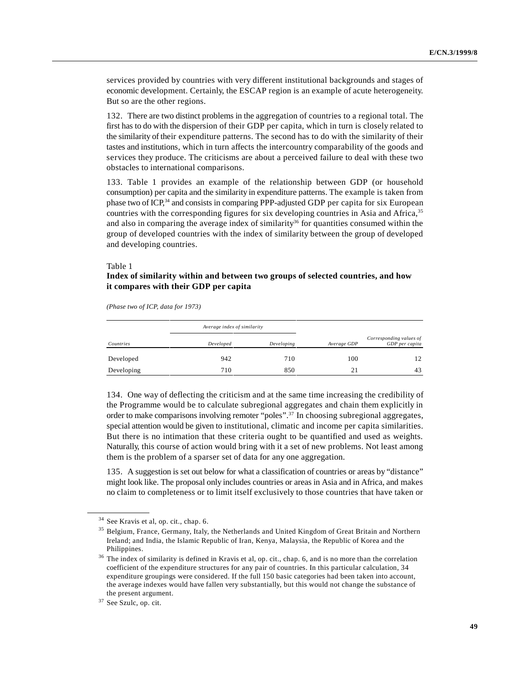services provided by countries with very different institutional backgrounds and stages of economic development. Certainly, the ESCAP region is an example of acute heterogeneity. But so are the other regions.

132. There are two distinct problems in the aggregation of countries to a regional total. The first has to do with the dispersion of their GDP per capita, which in turn is closely related to the similarity of their expenditure patterns. The second has to do with the similarity of their tastes and institutions, which in turn affects the intercountry comparability of the goods and services they produce. The criticisms are about a perceived failure to deal with these two obstacles to international comparisons.

133. Table 1 provides an example of the relationship between GDP (or household consumption) per capita and the similarity in expenditure patterns. The example is taken from phase two of  $ICP<sub>1</sub><sup>34</sup>$  and consists in comparing PPP-adjusted GDP per capita for six European countries with the corresponding figures for six developing countries in Asia and Africa,<sup>35</sup> and also in comparing the average index of similarity<sup>36</sup> for quantities consumed within the group of developed countries with the index of similarity between the group of developed and developing countries.

#### Table 1

### **Index of similarity within and between two groups of selected countries, and how it compares with their GDP per capita**

*(Phase two of ICP, data for 1973)*

|            | Average index of similarity |            |             |                                           |
|------------|-----------------------------|------------|-------------|-------------------------------------------|
| Countries  | Developed                   | Developing | Average GDP | Corresponding values of<br>GDP per capita |
| Developed  | 942                         | 710        | 100         | 12                                        |
| Developing | 710                         | 850        | 21          | 43                                        |

134. One way of deflecting the criticism and at the same time increasing the credibility of the Programme would be to calculate subregional aggregates and chain them explicitly in order to make comparisons involving remoter "poles".<sup>37</sup> In choosing subregional aggregates, special attention would be given to institutional, climatic and income per capita similarities. But there is no intimation that these criteria ought to be quantified and used as weights. Naturally, this course of action would bring with it a set of new problems. Not least among them is the problem of a sparser set of data for any one aggregation.

135. A suggestion is set out below for what a classification of countries or areas by "distance" might look like. The proposal only includes countries or areas in Asia and in Africa, and makes no claim to completeness or to limit itself exclusively to those countries that have taken or

<sup>&</sup>lt;sup>34</sup> See Kravis et al, op. cit., chap. 6.

<sup>&</sup>lt;sup>35</sup> Belgium, France, Germany, Italy, the Netherlands and United Kingdom of Great Britain and Northern Ireland; and India, the Islamic Republic of Iran, Kenya, Malaysia, the Republic of Korea and the Philippines.

 $36$  The index of similarity is defined in Kravis et al, op. cit., chap. 6, and is no more than the correlation coefficient of the expenditure structures for any pair of countries. In this particular calculation, 34 expenditure groupings were considered. If the full 150 basic categories had been taken into account, the average indexes would have fallen very substantially, but this would not change the substance of the present argument.

 $37$  See Szulc, op. cit.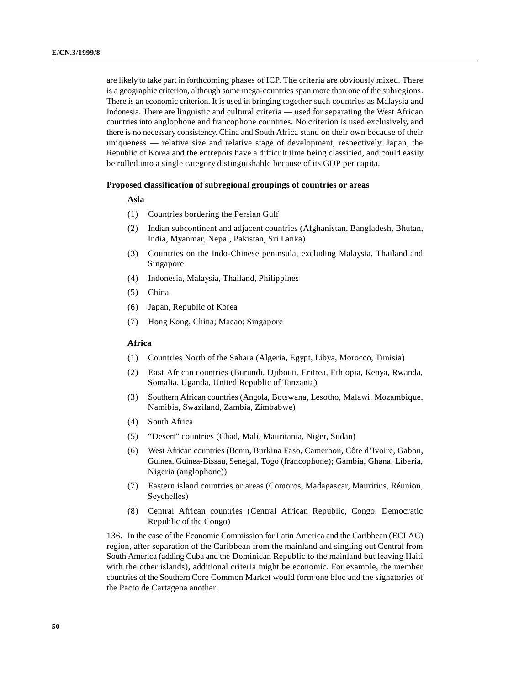are likely to take part in forthcoming phases of ICP. The criteria are obviously mixed. There is a geographic criterion, although some mega-countries span more than one of the subregions. There is an economic criterion. It is used in bringing together such countries as Malaysia and Indonesia. There are linguistic and cultural criteria — used for separating the West African countries into anglophone and francophone countries. No criterion is used exclusively, and there is no necessary consistency. China and South Africa stand on their own because of their uniqueness — relative size and relative stage of development, respectively. Japan, the Republic of Korea and the entrepôts have a difficult time being classified, and could easily be rolled into a single category distinguishable because of its GDP per capita.

#### **Proposed classification of subregional groupings of countries or areas**

#### **Asia**

- (1) Countries bordering the Persian Gulf
- (2) Indian subcontinent and adjacent countries (Afghanistan, Bangladesh, Bhutan, India, Myanmar, Nepal, Pakistan, Sri Lanka)
- (3) Countries on the Indo-Chinese peninsula, excluding Malaysia, Thailand and Singapore
- (4) Indonesia, Malaysia, Thailand, Philippines
- (5) China
- (6) Japan, Republic of Korea
- (7) Hong Kong, China; Macao; Singapore

#### **Africa**

- (1) Countries North of the Sahara (Algeria, Egypt, Libya, Morocco, Tunisia)
- (2) East African countries (Burundi, Djibouti, Eritrea, Ethiopia, Kenya, Rwanda, Somalia, Uganda, United Republic of Tanzania)
- (3) Southern African countries (Angola, Botswana, Lesotho, Malawi, Mozambique, Namibia, Swaziland, Zambia, Zimbabwe)
- (4) South Africa
- (5) "Desert" countries (Chad, Mali, Mauritania, Niger, Sudan)
- (6) West African countries (Benin, Burkina Faso, Cameroon, Côte d'Ivoire, Gabon, Guinea, Guinea-Bissau, Senegal, Togo (francophone); Gambia, Ghana, Liberia, Nigeria (anglophone))
- (7) Eastern island countries or areas (Comoros, Madagascar, Mauritius, Réunion, Seychelles)
- (8) Central African countries (Central African Republic, Congo, Democratic Republic of the Congo)

136. In the case of the Economic Commission for Latin America and the Caribbean (ECLAC) region, after separation of the Caribbean from the mainland and singling out Central from South America (adding Cuba and the Dominican Republic to the mainland but leaving Haiti with the other islands), additional criteria might be economic. For example, the member countries of the Southern Core Common Market would form one bloc and the signatories of the Pacto de Cartagena another.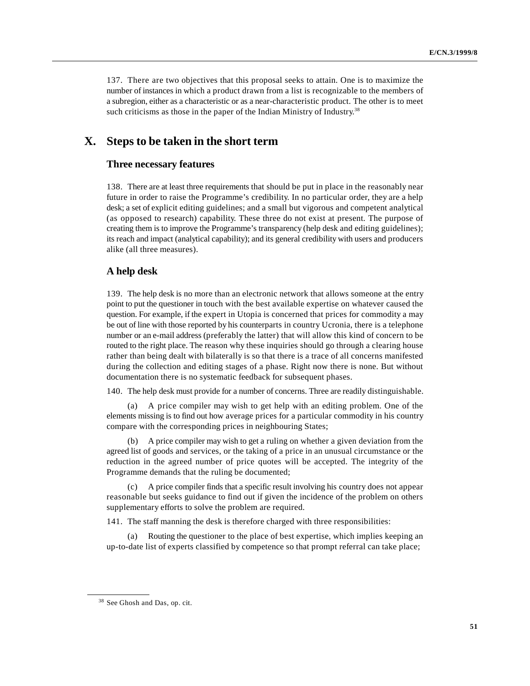137. There are two objectives that this proposal seeks to attain. One is to maximize the number of instances in which a product drawn from a list is recognizable to the members of a subregion, either as a characteristic or as a near-characteristic product. The other is to meet such criticisms as those in the paper of the Indian Ministry of Industry.<sup>38</sup>

# **X. Steps to be taken in the short term**

#### **Three necessary features**

138. There are at least three requirements that should be put in place in the reasonably near future in order to raise the Programme's credibility. In no particular order, they are a help desk; a set of explicit editing guidelines; and a small but vigorous and competent analytical (as opposed to research) capability. These three do not exist at present. The purpose of creating them is to improve the Programme's transparency (help desk and editing guidelines); its reach and impact (analytical capability); and its general credibility with users and producers alike (all three measures).

# **A help desk**

139. The help desk is no more than an electronic network that allows someone at the entry point to put the questioner in touch with the best available expertise on whatever caused the question. For example, if the expert in Utopia is concerned that prices for commodity a may be out of line with those reported by his counterparts in country Ucronia, there is a telephone number or an e-mail address (preferably the latter) that will allow this kind of concern to be routed to the right place. The reason why these inquiries should go through a clearing house rather than being dealt with bilaterally is so that there is a trace of all concerns manifested during the collection and editing stages of a phase. Right now there is none. But without documentation there is no systematic feedback for subsequent phases.

140. The help desk must provide for a number of concerns. Three are readily distinguishable.

(a) A price compiler may wish to get help with an editing problem. One of the elements missing is to find out how average prices for a particular commodity in his country compare with the corresponding prices in neighbouring States;

(b) A price compiler may wish to get a ruling on whether a given deviation from the agreed list of goods and services, or the taking of a price in an unusual circumstance or the reduction in the agreed number of price quotes will be accepted. The integrity of the Programme demands that the ruling be documented;

(c) A price compiler finds that a specific result involving his country does not appear reasonable but seeks guidance to find out if given the incidence of the problem on others supplementary efforts to solve the problem are required.

141. The staff manning the desk is therefore charged with three responsibilities:

(a) Routing the questioner to the place of best expertise, which implies keeping an up-to-date list of experts classified by competence so that prompt referral can take place;

<sup>&</sup>lt;sup>38</sup> See Ghosh and Das, op. cit.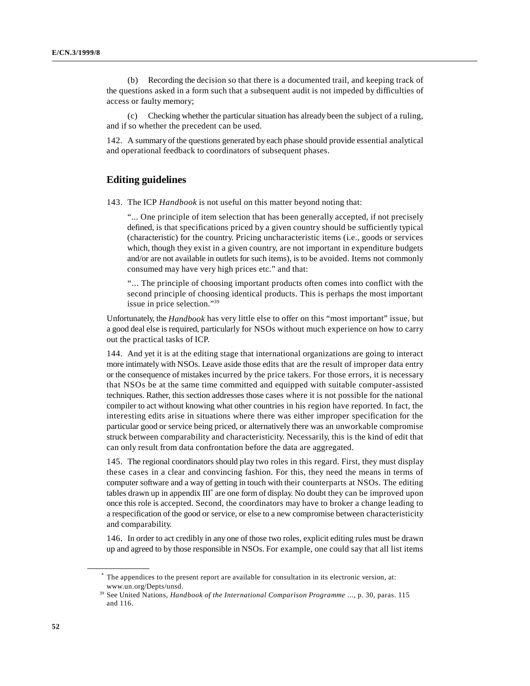(b) Recording the decision so that there is a documented trail, and keeping track of the questions asked in a form such that a subsequent audit is not impeded by difficulties of access or faulty memory;

(c) Checking whether the particular situation has already been the subject of a ruling, and if so whether the precedent can be used.

142. A summary of the questions generated by each phase should provide essential analytical and operational feedback to coordinators of subsequent phases.

### **Editing guidelines**

143. The ICP *Handbook* is not useful on this matter beyond noting that:

"... One principle of item selection that has been generally accepted, if not precisely defined, is that specifications priced by a given country should be sufficiently typical (characteristic) for the country. Pricing uncharacteristic items (i.e., goods or services which, though they exist in a given country, are not important in expenditure budgets and/or are not available in outlets for such items), is to be avoided. Items not commonly consumed may have very high prices etc." and that:

"... The principle of choosing important products often comes into conflict with the second principle of choosing identical products. This is perhaps the most important issue in price selection."39

Unfortunately, the *Handbook* has very little else to offer on this "most important" issue, but a good deal else is required, particularly for NSOs without much experience on how to carry out the practical tasks of ICP.

144. And yet it is at the editing stage that international organizations are going to interact more intimately with NSOs. Leave aside those edits that are the result of improper data entry or the consequence of mistakes incurred by the price takers. For those errors, it is necessary that NSOs be at the same time committed and equipped with suitable computer-assisted techniques. Rather, this section addresses those cases where it is not possible for the national compiler to act without knowing what other countries in his region have reported. In fact, the interesting edits arise in situations where there was either improper specification for the particular good or service being priced, or alternatively there was an unworkable compromise struck between comparability and characteristicity. Necessarily, this is the kind of edit that can only result from data confrontation before the data are aggregated.

145. The regional coordinators should play two roles in this regard. First, they must display these cases in a clear and convincing fashion. For this, they need the means in terms of computer software and a way of getting in touch with their counterparts at NSOs. The editing tables drawn up in appendix  $III^*$  are one form of display. No doubt they can be improved upon once this role is accepted. Second, the coordinators may have to broker a change leading to a respecification of the good or service, or else to a new compromise between characteristicity and comparability.

146. In order to act credibly in any one of those two roles, explicit editing rules must be drawn up and agreed to by those responsible in NSOs. For example, one could say that all list items

The appendices to the present report are available for consultation in its electronic version, at: \* www.un.org/Depts/unsd.

<sup>&</sup>lt;sup>39</sup> See United Nations, *Handbook of the International Comparison Programme* ..., p. 30, paras. 115 and 116.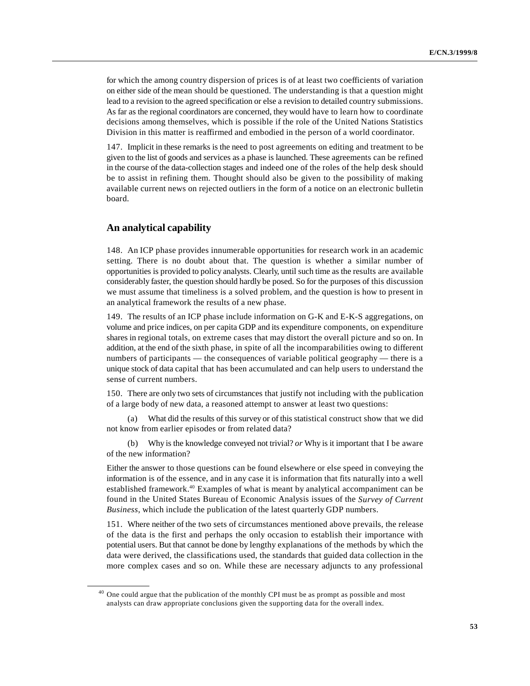for which the among country dispersion of prices is of at least two coefficients of variation on either side of the mean should be questioned. The understanding is that a question might lead to a revision to the agreed specification or else a revision to detailed country submissions. As far as the regional coordinators are concerned, they would have to learn how to coordinate decisions among themselves, which is possible if the role of the United Nations Statistics Division in this matter is reaffirmed and embodied in the person of a world coordinator.

147. Implicit in these remarks is the need to post agreements on editing and treatment to be given to the list of goods and services as a phase is launched. These agreements can be refined in the course of the data-collection stages and indeed one of the roles of the help desk should be to assist in refining them. Thought should also be given to the possibility of making available current news on rejected outliers in the form of a notice on an electronic bulletin board.

# **An analytical capability**

148. An ICP phase provides innumerable opportunities for research work in an academic setting. There is no doubt about that. The question is whether a similar number of opportunities is provided to policy analysts. Clearly, until such time as the results are available considerably faster, the question should hardly be posed. So for the purposes of this discussion we must assume that timeliness is a solved problem, and the question is how to present in an analytical framework the results of a new phase.

149. The results of an ICP phase include information on G-K and E-K-S aggregations, on volume and price indices, on per capita GDP and its expenditure components, on expenditure shares in regional totals, on extreme cases that may distort the overall picture and so on. In addition, at the end of the sixth phase, in spite of all the incomparabilities owing to different numbers of participants — the consequences of variable political geography — there is a unique stock of data capital that has been accumulated and can help users to understand the sense of current numbers.

150. There are only two sets of circumstances that justify not including with the publication of a large body of new data, a reasoned attempt to answer at least two questions:

What did the results of this survey or of this statistical construct show that we did not know from earlier episodes or from related data?

(b) Why is the knowledge conveyed not trivial? *or* Why is it important that I be aware of the new information?

Either the answer to those questions can be found elsewhere or else speed in conveying the information is of the essence, and in any case it is information that fits naturally into a well established framework.<sup>40</sup> Examples of what is meant by analytical accompaniment can be found in the United States Bureau of Economic Analysis issues of the *Survey of Current Business*, which include the publication of the latest quarterly GDP numbers.

151. Where neither of the two sets of circumstances mentioned above prevails, the release of the data is the first and perhaps the only occasion to establish their importance with potential users. But that cannot be done by lengthy explanations of the methods by which the data were derived, the classifications used, the standards that guided data collection in the more complex cases and so on. While these are necessary adjuncts to any professional

 $40$  One could argue that the publication of the monthly CPI must be as prompt as possible and most analysts can draw appropriate conclusions given the supporting data for the overall index.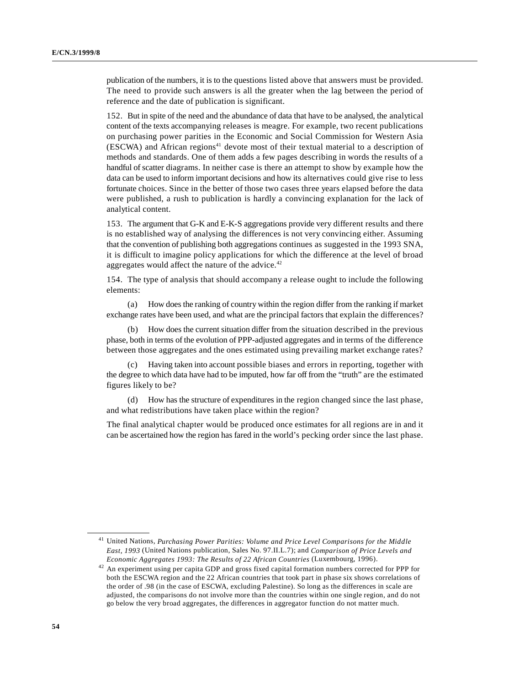publication of the numbers, it is to the questions listed above that answers must be provided. The need to provide such answers is all the greater when the lag between the period of reference and the date of publication is significant.

152. But in spite of the need and the abundance of data that have to be analysed, the analytical content of the texts accompanying releases is meagre. For example, two recent publications on purchasing power parities in the Economic and Social Commission for Western Asia (ESCWA) and African regions<sup> $41$ </sup> devote most of their textual material to a description of methods and standards. One of them adds a few pages describing in words the results of a handful of scatter diagrams. In neither case is there an attempt to show by example how the data can be used to inform important decisions and how its alternatives could give rise to less fortunate choices. Since in the better of those two cases three years elapsed before the data were published, a rush to publication is hardly a convincing explanation for the lack of analytical content.

153. The argument that G-K and E-K-S aggregations provide very different results and there is no established way of analysing the differences is not very convincing either. Assuming that the convention of publishing both aggregations continues as suggested in the 1993 SNA, it is difficult to imagine policy applications for which the difference at the level of broad aggregates would affect the nature of the advice.<sup>42</sup>

154. The type of analysis that should accompany a release ought to include the following elements:

(a) How does the ranking of country within the region differ from the ranking if market exchange rates have been used, and what are the principal factors that explain the differences?

(b) How does the current situation differ from the situation described in the previous phase, both in terms of the evolution of PPP-adjusted aggregates and in terms of the difference between those aggregates and the ones estimated using prevailing market exchange rates?

(c) Having taken into account possible biases and errors in reporting, together with the degree to which data have had to be imputed, how far off from the "truth" are the estimated figures likely to be?

(d) How has the structure of expenditures in the region changed since the last phase, and what redistributions have taken place within the region?

The final analytical chapter would be produced once estimates for all regions are in and it can be ascertained how the region has fared in the world's pecking order since the last phase.

<sup>&</sup>lt;sup>41</sup> United Nations, *Purchasing Power Parities: Volume and Price Level Comparisons for the Middle East, 1993* (United Nations publication, Sales No. 97.II.L.7); and *Comparison of Price Levels and Economic Aggregates 1993: The Results of 22 African Countries* (Luxembourg, 1996).

 $42$  An experiment using per capita GDP and gross fixed capital formation numbers corrected for PPP for both the ESCWA region and the 22 African countries that took part in phase six shows correlations of the order of .98 (in the case of ESCWA, excluding Palestine). So long as the differences in scale are adjusted, the comparisons do not involve more than the countries within one single region, and do not go below the very broad aggregates, the differences in aggregator function do not matter much.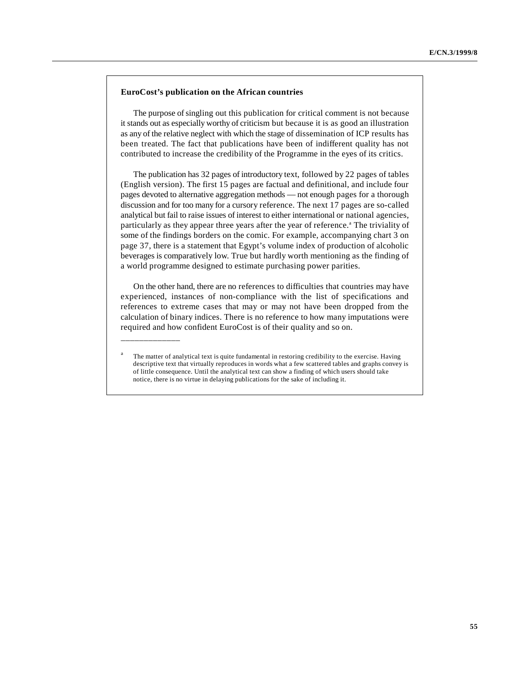#### **EuroCost's publication on the African countries**

\_\_\_\_\_\_\_\_\_\_\_\_\_

The purpose of singling out this publication for critical comment is not because it stands out as especially worthy of criticism but because it is as good an illustration as any of the relative neglect with which the stage of dissemination of ICP results has been treated. The fact that publications have been of indifferent quality has not contributed to increase the credibility of the Programme in the eyes of its critics.

The publication has 32 pages of introductory text, followed by 22 pages of tables (English version). The first 15 pages are factual and definitional, and include four pages devoted to alternative aggregation methods — not enough pages for a thorough discussion and for too many for a cursory reference. The next 17 pages are so-called analytical but fail to raise issues of interest to either international or national agencies, particularly as they appear three years after the year of reference.<sup>a</sup> The triviality of some of the findings borders on the comic. For example, accompanying chart 3 on page 37, there is a statement that Egypt's volume index of production of alcoholic beverages is comparatively low. True but hardly worth mentioning as the finding of a world programme designed to estimate purchasing power parities.

On the other hand, there are no references to difficulties that countries may have experienced, instances of non-compliance with the list of specifications and references to extreme cases that may or may not have been dropped from the calculation of binary indices. There is no reference to how many imputations were required and how confident EuroCost is of their quality and so on.

The matter of analytical text is quite fundamental in restoring credibility to the exercise. Having descriptive text that virtually reproduces in words what a few scattered tables and graphs convey is of little consequence. Until the analytical text can show a finding of which users should take notice, there is no virtue in delaying publications for the sake of including it.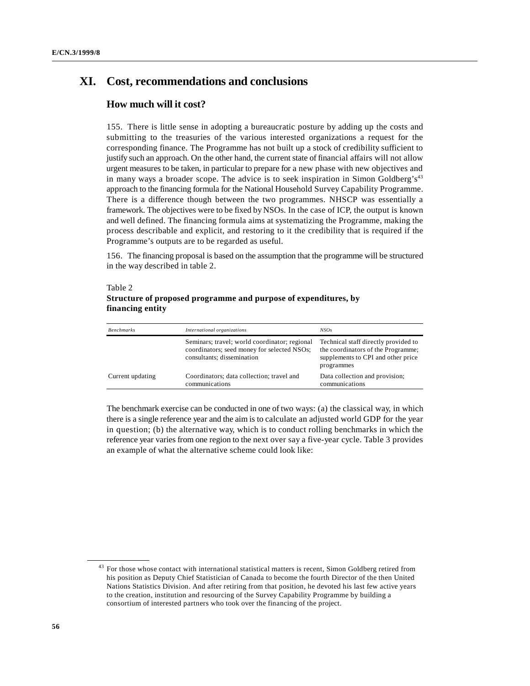# **XI. Cost, recommendations and conclusions**

# **How much will it cost?**

155. There is little sense in adopting a bureaucratic posture by adding up the costs and submitting to the treasuries of the various interested organizations a request for the corresponding finance. The Programme has not built up a stock of credibility sufficient to justify such an approach. On the other hand, the current state of financial affairs will not allow urgent measures to be taken, in particular to prepare for a new phase with new objectives and in many ways a broader scope. The advice is to seek inspiration in Simon Goldberg's $43$ approach to the financing formula for the National Household Survey Capability Programme. There is a difference though between the two programmes. NHSCP was essentially a framework. The objectives were to be fixed by NSOs. In the case of ICP, the output is known and well defined. The financing formula aims at systematizing the Programme, making the process describable and explicit, and restoring to it the credibility that is required if the Programme's outputs are to be regarded as useful.

156. The financing proposal is based on the assumption that the programme will be structured in the way described in table 2.

### Table 2 **Structure of proposed programme and purpose of expenditures, by financing entity**

| <b>Benchmarks</b> | International organizations                                                                                                | NSO <sub>s</sub>                                                                                                               |
|-------------------|----------------------------------------------------------------------------------------------------------------------------|--------------------------------------------------------------------------------------------------------------------------------|
|                   | Seminars: travel; world coordinator; regional<br>coordinators; seed money for selected NSOs;<br>consultants; dissemination | Technical staff directly provided to<br>the coordinators of the Programme;<br>supplements to CPI and other price<br>programmes |
| Current updating  | Coordinators; data collection; travel and<br>communications                                                                | Data collection and provision;<br>communications                                                                               |

The benchmark exercise can be conducted in one of two ways: (a) the classical way, in which there is a single reference year and the aim is to calculate an adjusted world GDP for the year in question; (b) the alternative way, which is to conduct rolling benchmarks in which the reference year varies from one region to the next over say a five-year cycle. Table 3 provides an example of what the alternative scheme could look like:

<sup>&</sup>lt;sup>43</sup> For those whose contact with international statistical matters is recent, Simon Goldberg retired from his position as Deputy Chief Statistician of Canada to become the fourth Director of the then United Nations Statistics Division. And after retiring from that position, he devoted his last few active years to the creation, institution and resourcing of the Survey Capability Programme by building a consortium of interested partners who took over the financing of the project.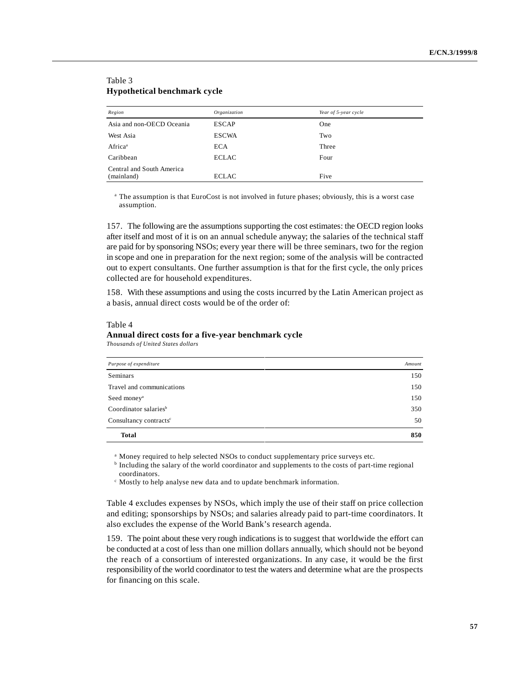| Region                                  | Organization | Year of 5-year cycle |
|-----------------------------------------|--------------|----------------------|
| Asia and non-OECD Oceania               | <b>ESCAP</b> | One                  |
| West Asia                               | <b>ESCWA</b> | Two                  |
| Africa <sup>a</sup>                     | <b>ECA</b>   | Three                |
| Caribbean                               | <b>ECLAC</b> | Four                 |
| Central and South America<br>(mainland) | <b>ECLAC</b> | Five                 |

### Table 3 **Hypothetical benchmark cycle**

<sup>a</sup> The assumption is that EuroCost is not involved in future phases; obviously, this is a worst case assumption.

157. The following are the assumptions supporting the cost estimates: the OECD region looks after itself and most of it is on an annual schedule anyway; the salaries of the technical staff are paid for by sponsoring NSOs; every year there will be three seminars, two for the region in scope and one in preparation for the next region; some of the analysis will be contracted out to expert consultants. One further assumption is that for the first cycle, the only prices collected are for household expenditures.

158. With these assumptions and using the costs incurred by the Latin American project as a basis, annual direct costs would be of the order of:

#### Table 4 **Annual direct costs for a five-year benchmark cycle** *Thousands of United States dollars*

| Purpose of expenditure             |     |
|------------------------------------|-----|
| <b>Seminars</b>                    | 150 |
| Travel and communications          | 150 |
| Seed money <sup>a</sup>            | 150 |
| Coordinator salaries <sup>b</sup>  | 350 |
| Consultancy contracts <sup>c</sup> | 50  |
| <b>Total</b>                       | 850 |

<sup>a</sup> Money required to help selected NSOs to conduct supplementary price surveys etc.

 $<sup>b</sup>$  Including the salary of the world coordinator and supplements to the costs of part-time regional</sup> coordinators.

 $\epsilon$  Mostly to help analyse new data and to update benchmark information.

Table 4 excludes expenses by NSOs, which imply the use of their staff on price collection and editing; sponsorships by NSOs; and salaries already paid to part-time coordinators. It also excludes the expense of the World Bank's research agenda.

159. The point about these very rough indications is to suggest that worldwide the effort can be conducted at a cost of less than one million dollars annually, which should not be beyond the reach of a consortium of interested organizations. In any case, it would be the first responsibility of the world coordinator to test the waters and determine what are the prospects for financing on this scale.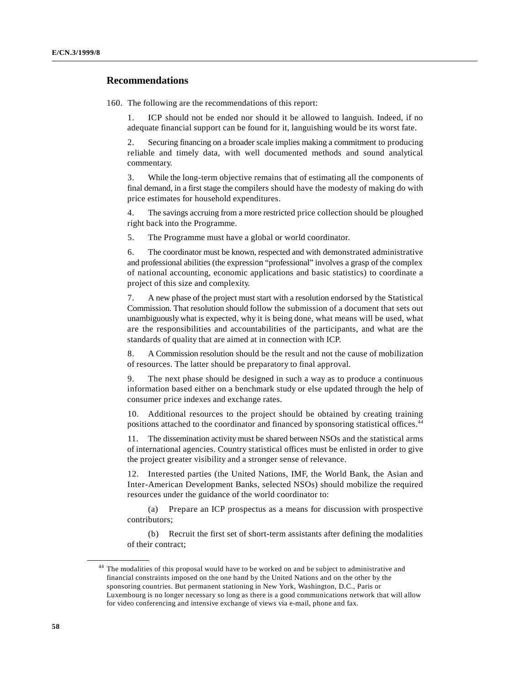## **Recommendations**

160. The following are the recommendations of this report:

1. ICP should not be ended nor should it be allowed to languish. Indeed, if no adequate financial support can be found for it, languishing would be its worst fate.

2. Securing financing on a broader scale implies making a commitment to producing reliable and timely data, with well documented methods and sound analytical commentary.

3. While the long-term objective remains that of estimating all the components of final demand, in a first stage the compilers should have the modesty of making do with price estimates for household expenditures.

4. The savings accruing from a more restricted price collection should be ploughed right back into the Programme.

5. The Programme must have a global or world coordinator.

6. The coordinator must be known, respected and with demonstrated administrative and professional abilities (the expression "professional" involves a grasp of the complex of national accounting, economic applications and basic statistics) to coordinate a project of this size and complexity.

7. A new phase of the project must start with a resolution endorsed by the Statistical Commission. That resolution should follow the submission of a document that sets out unambiguously what is expected, why it is being done, what means will be used, what are the responsibilities and accountabilities of the participants, and what are the standards of quality that are aimed at in connection with ICP.

8. A Commission resolution should be the result and not the cause of mobilization of resources. The latter should be preparatory to final approval.

9. The next phase should be designed in such a way as to produce a continuous information based either on a benchmark study or else updated through the help of consumer price indexes and exchange rates.

10. Additional resources to the project should be obtained by creating training positions attached to the coordinator and financed by sponsoring statistical offices.<sup>44</sup>

11. The dissemination activity must be shared between NSOs and the statistical arms of international agencies. Country statistical offices must be enlisted in order to give the project greater visibility and a stronger sense of relevance.

12. Interested parties (the United Nations, IMF, the World Bank, the Asian and Inter-American Development Banks, selected NSOs) should mobilize the required resources under the guidance of the world coordinator to:

(a) Prepare an ICP prospectus as a means for discussion with prospective contributors;

(b) Recruit the first set of short-term assistants after defining the modalities of their contract;

<sup>&</sup>lt;sup>44</sup> The modalities of this proposal would have to be worked on and be subject to administrative and financial constraints imposed on the one hand by the United Nations and on the other by the sponsoring countries. But permanent stationing in New York, Washington, D.C., Paris or Luxembourg is no longer necessary so long as there is a good communications network that will allow for video conferencing and intensive exchange of views via e-mail, phone and fax.